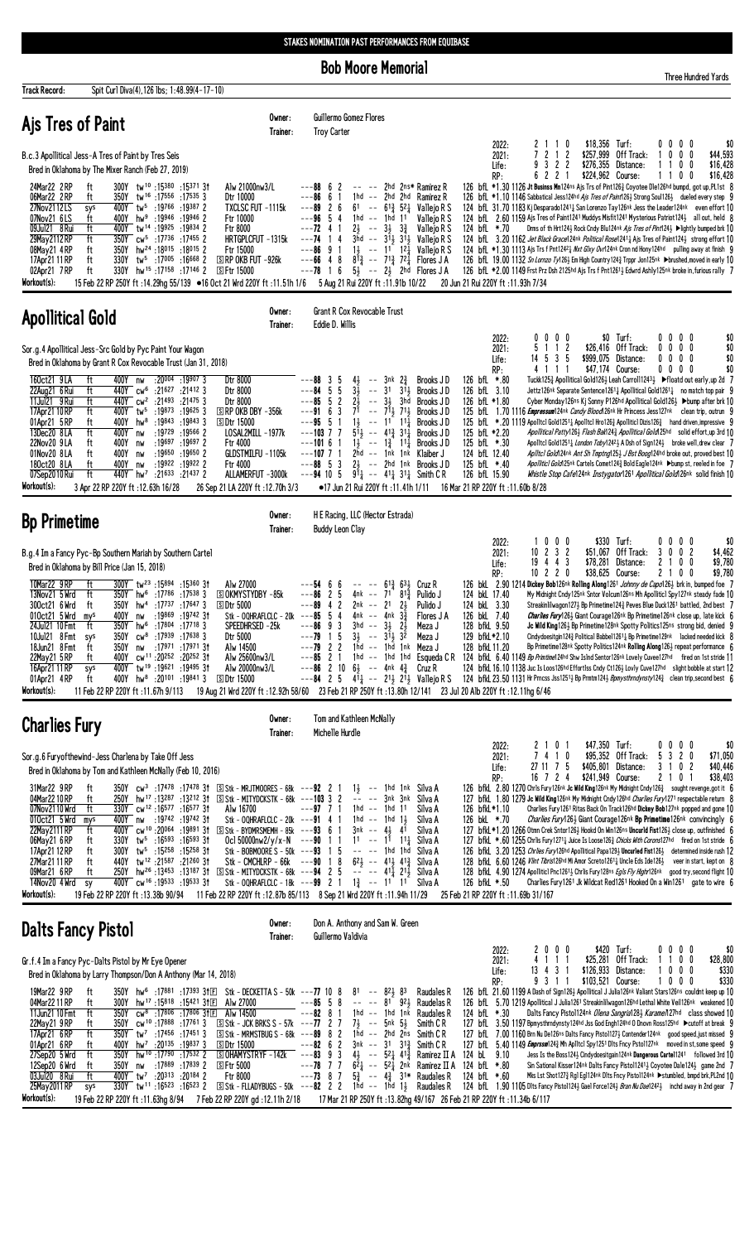**Bob Moore Memorial** 

|                                                                                                                                                                           |                                                                                                                                                                                                                                                                                                                                                                                                                                                                                                                                                       |                                                                                                                                                                                                             | <b>Bob Moore Memorial</b>                                                                                                                                                                                                                                                                                                                                                                                                                                                                                                                                                                                                                                                                                                                                                                                                                                                                                                  |                                                                                                                                                                                                                                                                                                                                                                                                                                                                                                                                                                                                                                                                                                                                                                                                                                                                                                                                                                                                                                                                                                                                             | <b>Three Hundred Yards</b>                                                                                       |
|---------------------------------------------------------------------------------------------------------------------------------------------------------------------------|-------------------------------------------------------------------------------------------------------------------------------------------------------------------------------------------------------------------------------------------------------------------------------------------------------------------------------------------------------------------------------------------------------------------------------------------------------------------------------------------------------------------------------------------------------|-------------------------------------------------------------------------------------------------------------------------------------------------------------------------------------------------------------|----------------------------------------------------------------------------------------------------------------------------------------------------------------------------------------------------------------------------------------------------------------------------------------------------------------------------------------------------------------------------------------------------------------------------------------------------------------------------------------------------------------------------------------------------------------------------------------------------------------------------------------------------------------------------------------------------------------------------------------------------------------------------------------------------------------------------------------------------------------------------------------------------------------------------|---------------------------------------------------------------------------------------------------------------------------------------------------------------------------------------------------------------------------------------------------------------------------------------------------------------------------------------------------------------------------------------------------------------------------------------------------------------------------------------------------------------------------------------------------------------------------------------------------------------------------------------------------------------------------------------------------------------------------------------------------------------------------------------------------------------------------------------------------------------------------------------------------------------------------------------------------------------------------------------------------------------------------------------------------------------------------------------------------------------------------------------------|------------------------------------------------------------------------------------------------------------------|
| <b>Track Record:</b>                                                                                                                                                      | Spit Curl Diva(4), 126 lbs; 1:48.99(4-17-10)                                                                                                                                                                                                                                                                                                                                                                                                                                                                                                          |                                                                                                                                                                                                             |                                                                                                                                                                                                                                                                                                                                                                                                                                                                                                                                                                                                                                                                                                                                                                                                                                                                                                                            |                                                                                                                                                                                                                                                                                                                                                                                                                                                                                                                                                                                                                                                                                                                                                                                                                                                                                                                                                                                                                                                                                                                                             |                                                                                                                  |
| Ajs Tres of Paint                                                                                                                                                         |                                                                                                                                                                                                                                                                                                                                                                                                                                                                                                                                                       | Owner:<br>Trainer:                                                                                                                                                                                          | Guillermo Gomez Flores<br><b>Troy Carter</b>                                                                                                                                                                                                                                                                                                                                                                                                                                                                                                                                                                                                                                                                                                                                                                                                                                                                               |                                                                                                                                                                                                                                                                                                                                                                                                                                                                                                                                                                                                                                                                                                                                                                                                                                                                                                                                                                                                                                                                                                                                             |                                                                                                                  |
|                                                                                                                                                                           | B.c.3 Apollitical Jess-A Tres of Paint by Tres Seis<br>Bred in Oklahoma by The Mixer Ranch (Feb 27, 2019)                                                                                                                                                                                                                                                                                                                                                                                                                                             |                                                                                                                                                                                                             |                                                                                                                                                                                                                                                                                                                                                                                                                                                                                                                                                                                                                                                                                                                                                                                                                                                                                                                            | \$18,356 Turf:<br>2022:<br>2110<br>2<br>2<br>\$257,999<br>2021:<br>-1<br>Off Track:<br>22<br>\$276,355<br>3<br>Distance:<br>Life:<br>2 <sub>2</sub><br>\$224,962 Course:<br>RP:<br>6<br>$\overline{1}$                                                                                                                                                                                                                                                                                                                                                                                                                                                                                                                                                                                                                                                                                                                                                                                                                                                                                                                                      | $0\,0\,0\,0$<br>\$0<br>0<br>\$44,593<br>0<br>$\mathbf 0$<br>\$16,428<br>0<br>0<br>\$16,428<br>100                |
| 24Mar22 2RP<br>06Mar22 2RP<br>27Nov2112LS<br>07Nov21 6LS<br>09Jul21 8 Rui<br>29May 2112 RP<br>08May21 4RP<br>17Apr21 11 RP<br>02Apr21 7RP                                 | 300Y tw <sup>10</sup> :15380:1537131<br>ft<br>tw <sup>16</sup> :17556:175353<br>ft<br>350Y<br>tw <sup>5</sup> :19766<br>:193872<br>sys<br>400Y<br>ft<br>400Y<br>hw <sup>9</sup><br>:19946<br>$:19946$ 2<br>ft<br>tw <sup>14</sup> :19925<br>$:19834$ 2<br>400Y<br>cw <sup>5</sup> :17736<br>$:17455$ 2<br>ft<br>350Y<br>hw <sup>24</sup> :18015<br>$:18015$ 2<br>ft<br>350Y<br>ft<br>tw <sup>5</sup> :17005 :16668 2<br>330Y<br>hw <sup>15</sup> :17158:17146 2<br>ft<br>330Y                                                                         | Alw 21000nw3/L<br>Dtr 10000<br>TXCLSC FUT -1115k<br>Ftr 10000<br>Ftr 8000<br>HRTGPLCFUT -1315k<br>$---74$<br>Ftr 15000<br>$S$ RP OKB FUT $-926k$<br><b>SFtr 15000</b>                                       | ---88<br>6<br>2hd 2ns* Ramirez R<br>2<br>---86<br>6<br>1hd<br>$\sim$ $\sim$<br>2hd<br>2hd Ramirez R<br>---89<br>$\overline{c}$<br>61<br>$-- 61\frac{3}{4}$<br>$5^{2}$<br>Vallejo R S<br>6<br>---96<br>5<br>1hd<br>$\sim$ $-$<br>1hd<br>11<br>Vallejo R S<br>4<br>$---72$ 4 1<br>21<br>$3\frac{1}{2}$<br>$3\frac{3}{4}$<br>Vallejo R S<br>$ -$<br>$3^{11}$<br>$3hd$ --<br>$31\frac{1}{2}$<br>Vallejo R S<br>4<br>$1\frac{1}{2}$ -- $11^{-}$<br>$12\overline{1}$<br>---86<br>9<br>$\overline{1}$<br>Vallejo R S<br>48<br>$8^{13}$ -- 71 <sup>3</sup><br>$72\frac{1}{4}$<br>---66<br>Flores J A<br>$5\frac{1}{2}$ -- $2\frac{1}{2}$ 2hd Flores JA<br>---78<br>16                                                                                                                                                                                                                                                              | 126 bfL *1.30 1126 Jt Businss Mn124ns Ajs Trs of Pint1263 Coyotee Dle126hd bumpd, got up, PL1st 8<br>126 bfL *1.10 1146 Sabbatical Jess124hd Ajs Tres of Paint126 <sup>1</sup> Strong Soul126 <sup>1</sup> dueled every step 9<br>124 bfl 31.70 1183 Kj Desparado12411 San Lorenzo Tay126nk Jess the Leader124nk even effort 10<br>124 bfl. 2.60 1159 Ajs Tres of Paint1241 Muddys Misfit1241 Mysterious Patriot124 <sub>2</sub> all out, held 8<br>Drms of th Hrt124} Rock Cndy Blu124 <sup>nk</sup> Ais Tres of Pint124} ▶lightly bumped brk 10<br>124 bfL *.70<br>124 bfl. 3.20 1162 Jet Black Grace124nk Political Rose12414 Ajs Tres of Paint1244 strong effort 10<br>124 bfL *1.30 1113 Ajs Trs f Pnt1242 1 Nxt Glxy Ovr124nk Cron nd Hony124hd pulling away at finish 9<br>126 bfL 19.00 1132 <i>Sn Lornzo Ty</i> 126½ Em High Country 124½ Trppr Jon125nk ▶brushed, moved in early 10<br>126 bfl *2.00 1149 Frst Prz Dsh 2125hd Ajs Trs f Pnt12613 Edwrd Ashly125nk broke in, furious rally 7                                                                                                                                       |                                                                                                                  |
| Workout(s):                                                                                                                                                               | 15 Feb 22 RP 250Y ft: 14.29hg 55/139 ● 16 Oct 21 Wrd 220Y ft: 11.51h 1/6                                                                                                                                                                                                                                                                                                                                                                                                                                                                              |                                                                                                                                                                                                             | 5 Aug 21 Rui 220Y ft: 11.91b 10/22                                                                                                                                                                                                                                                                                                                                                                                                                                                                                                                                                                                                                                                                                                                                                                                                                                                                                         | 20 Jun 21 Rui 220Y ft: 11.93h 7/34                                                                                                                                                                                                                                                                                                                                                                                                                                                                                                                                                                                                                                                                                                                                                                                                                                                                                                                                                                                                                                                                                                          |                                                                                                                  |
| <b>Apollitical Gold</b>                                                                                                                                                   |                                                                                                                                                                                                                                                                                                                                                                                                                                                                                                                                                       | Owner:<br>Trainer:                                                                                                                                                                                          | <b>Grant R Cox Revocable Trust</b><br>Eddie D. Willis                                                                                                                                                                                                                                                                                                                                                                                                                                                                                                                                                                                                                                                                                                                                                                                                                                                                      |                                                                                                                                                                                                                                                                                                                                                                                                                                                                                                                                                                                                                                                                                                                                                                                                                                                                                                                                                                                                                                                                                                                                             |                                                                                                                  |
|                                                                                                                                                                           | Sor.g.4 Apollitical Jess-Src Gold by Pyc Paint Your Wagon<br>Bred in Oklahoma by Grant R Cox Revocable Trust (Jan 31, 2018)                                                                                                                                                                                                                                                                                                                                                                                                                           |                                                                                                                                                                                                             |                                                                                                                                                                                                                                                                                                                                                                                                                                                                                                                                                                                                                                                                                                                                                                                                                                                                                                                            | 0 <sub>0</sub><br>\$0 Turf:<br>2022:<br>0<br>0<br>2<br>\$26,416 Off Track:<br>2021:<br>5<br>-1<br>$\overline{1}$<br>14 5 3 5<br>\$999,075 Distance:<br>Life:<br>\$47,174 Course:<br>4 1 1 1<br>RP:                                                                                                                                                                                                                                                                                                                                                                                                                                                                                                                                                                                                                                                                                                                                                                                                                                                                                                                                          | 0 <sub>0</sub><br>\$0<br>00<br>$0\quad 0$<br>\$0<br>0<br>0<br>0<br>$0\quad 0$<br>\$0<br>0<br>\$0<br>$0\ 0\ 0\ 0$ |
| 160ct21 9LA<br>22Aug21 6 Rui<br>11Jul21 9 Rui<br>17Apr21 10 RP<br>01Apr21 5RP<br>13Dec20 8LA<br>22Nov20 9LA<br>01Nov20 8LA<br>180ct20 8LA<br>07Sep2010 Rui<br>Workout(s): | : 20004 : 199073<br>ft<br>400Y nw<br>ft<br>440Y cw <sup>6</sup> :21627<br>:214123<br>:21493<br>440Y cw <sup>2</sup><br>:21475.3<br>ft<br>:19873<br>:196253<br>ft<br>400Y<br>tw5<br>:19843<br>:198433<br>ft<br>400Y<br>$hw^8$<br>:19729<br>$:19566$ 2<br>ft<br>400Y<br>nw<br>:19697<br>$:19697$ 2<br>ft<br>400Y<br>nw<br>:19650<br>:196502<br>ft<br>400Y<br>nw<br>:19922 :19922 2<br>ft<br>400Y<br>nw<br>ft<br>440Y hw <sup>7</sup> :21633 :21437 2<br>3 Apr 22 RP 220Y ft: 12.63h 16/28                                                               | Dtr 8000<br>Dtr 8000<br>Dtr 8000<br>$\Box$ RP OKB DBY -356k<br><b>SDtr 15000</b><br>LOSAL2MILL -1977k<br>Ftr 4000<br>GLDSTMILFU -1105k<br>Ftr 4000<br>ALLAMERFUT -3000k<br>26 Sep 21 LA 220Y ft: 12.70h 3/3 | $3nk$ $2\frac{3}{4}$<br>Brooks JD<br>---88<br>3<br>5<br>4}<br>$\sim$ $-$<br>$--84$<br>5<br>-5<br>3 <sub>3</sub><br>3 <sup>1</sup><br>$31\frac{1}{2}$<br>Brooks JD<br>$\sim$ $-$<br>$2\frac{1}{2}$<br>$\overline{\mathbf{c}}$<br>$\sim$ $\sim$<br>$3\frac{1}{2}$<br>---85<br>-5<br>3hd<br>Brooks JD<br>$---9163$<br>7 <sup>1</sup><br>$-- 71\frac{1}{2}$<br>$71\frac{1}{2}$<br><b>Brooks JD</b><br>11<br>$11$ <sup>*</sup><br>---95<br>$11\frac{1}{2}$<br>-5<br>-1<br>$\sim$ $-$<br>Brooks JD<br>$---103$ 7 7<br>$5^{11}$<br>$-- 413$<br>$31\frac{1}{2}$<br>Brooks JD<br>$1\frac{1}{2}$<br>$\sim$ $\sim$<br>$1\frac{3}{4}$<br>$---1016$<br>$11\frac{1}{4}$<br>Brooks JD<br>$---107$ 7 1<br>$2hd$ -- $1nk$<br>1nk<br>Klaiber J<br>$2\frac{1}{2}$ -- 2hd<br>$---88.5$<br>3<br>1nk<br>Brooks JD<br>$--94$ 10 5<br>$91\frac{1}{4}$ -- $41\frac{1}{4}$ $31\frac{1}{4}$ Smith C R<br>$\bullet$ 17 Jun 21 Rui 220Y ft :11.41h 1/11 | 126 bfL *.80<br>Tuckk125½ Apollitical Gold126½ Leah Carroll1243½ ▶ floatd out early, up 2d 7<br>126 bfL 3.10<br>Jettz126nk Separate Sentence12611 Apollitical Gold12611 no match top pair 9<br>126 bfL *1.80<br>Cyber Monday126ns Kj Sonny P126hd Apollitical Gold1263 ▶bump after brk 10<br>125 bfl. 1.70 1116 <i>Empressum</i> 124 <sup>nk</sup> <i>Candy Blood</i> 126 <sup>nk</sup> Hr Princess Jess127 <sup>nk</sup> clean trip, outrun 9<br>125 bfL *.20 1119 Apolitcl Gold1251 <sub>4</sub> Apolitcl Hro126 <sub>4</sub> Apoliticl Dizis126 <sub>4</sub> hand driven, impressive 9<br>125 bfL *2.20<br>Apollitical Patty\26} Flash Bak\24} Apollitical Gold\25hd solid effort,up 3rd 10<br>125 bfL *.30<br>Apolitcl Gold12511 London Toby12421 A Dsh of Sign1241 broke well, drew clear 7<br>124 bfL 12.40<br>Aplitcl Gold 24nk Ant Sh Tmptng125} J Bst Boog124hd broke out, proved best 10<br>125 bfL *.40<br>Apollitic1 Gold125nk Cartels Comet124½ Bold Eagle124nk ▶bump st, reeled in foe 7<br>126 bfL 15.90<br>Whistle Stop Cafe124nk Instygator1261 Apollitical Gold126nk solid finish 10<br>16 Mar 21 RP 220Y ft: 11.60b 8/28 |                                                                                                                  |
| <b>Bp Primetime</b>                                                                                                                                                       |                                                                                                                                                                                                                                                                                                                                                                                                                                                                                                                                                       | Owner:<br>Trainer:                                                                                                                                                                                          | H E Racing, LLC (Hector Estrada)<br><b>Buddy Leon Clay</b>                                                                                                                                                                                                                                                                                                                                                                                                                                                                                                                                                                                                                                                                                                                                                                                                                                                                 |                                                                                                                                                                                                                                                                                                                                                                                                                                                                                                                                                                                                                                                                                                                                                                                                                                                                                                                                                                                                                                                                                                                                             |                                                                                                                  |
|                                                                                                                                                                           | B.g.4 Im a Fancy Pyc-Bp Southern Mariah by Southern Cartel<br>Bred in Oklahoma by Bill Price (Jan 15, 2018)                                                                                                                                                                                                                                                                                                                                                                                                                                           |                                                                                                                                                                                                             |                                                                                                                                                                                                                                                                                                                                                                                                                                                                                                                                                                                                                                                                                                                                                                                                                                                                                                                            | \$330 Turf:<br>2022:<br>$0\ 0\ 0$<br>-1<br>$10$ 2 3 2<br>\$51,067 Off Track:<br>2021:<br>$19$ 4 4 3<br>\$78,281<br>Distance:<br>Life:<br>$10$ 2 2 0<br>RP:<br>\$38,625 Course:                                                                                                                                                                                                                                                                                                                                                                                                                                                                                                                                                                                                                                                                                                                                                                                                                                                                                                                                                              | $0\,0\,0\,0$<br>\$0<br>3 0 0 2<br>\$4,462<br>$\mathbf{2}$<br>\$9,780<br>0<br>0<br>-1.<br>0<br>\$9.780<br>210     |
| 10Mar22 9RP<br>13Nov21 5 Wrd<br>300ct21 6 Wrd<br>010ct21 5 Wrd<br>mys<br>24Ju121 10 Fmt<br>10Jul21 8 Fmt<br>18Jun21 8 Fmt<br>22May21 5RP<br>16Apr21 11 RP<br>01Apr21 4RP  | 300Y tw <sup>23</sup> :15894<br>:15360 31<br>ft<br>hw <sup>6</sup><br>$:17538$ 3<br>ft<br>350Y<br>:17786<br>hw <sup>4</sup> :17 <sup>737</sup><br>$:17647$ 3<br>ft<br>350Y<br>:19869<br>$:19742$ 31<br>400Y<br>nw<br>:17804<br>$:17718$ 3<br>ft<br>350Y<br>hw <sup>6</sup><br>$\text{CW}^8$<br>:17939<br>$:17638$ 3<br>350Y<br>sys<br>ft<br>:17971<br>:17971 31<br>350Y<br>nw<br>cw <sup>11</sup> :20252<br>$:20^{252}$ 31<br>400Y<br>ft<br>tw <sup>19</sup> :19621<br>:19495 31<br>sys<br>400Y<br>400Y hw <sup>8</sup><br>$:20^{101}$ :19841 3<br>ft | Alw 27000<br>ි OKMYSTYDBY -85k<br><b>SDtr 5000</b><br>$--85$<br>Stk - OQHRAFLCLC - 20k<br>SPEEDHRSED -25k<br>Dtr 5000<br>Alw 14500<br>Alw 25600nw3/L<br>Alw 20000nw3/L<br><b>SDtr 15000</b>                 | $61\frac{3}{4}$<br>$63\frac{1}{2}$<br>---54<br>6<br>6<br>Cruz R<br>$\qquad \qquad - - -$<br>---86<br>$\overline{c}$<br>4nk --<br>7 <sup>1</sup><br>$81\frac{3}{4}$<br>5<br>Pulido J<br>$---89$<br>2<br>2nk -- 21<br>2 <sub>3</sub><br>4<br>Pulido J<br>-5<br>$4nk$ -- $4nk$<br>$3\frac{3}{4}$<br>Flores J A<br>4<br>---86<br>3hd<br>$\sim$ $\sim$<br>$3\frac{1}{2}$<br>$2\frac{1}{2}$<br>9<br>3<br>Meza J<br>1 5<br>$3\frac{1}{2}$<br>---79<br>$--$ 31 $\frac{1}{2}$<br>32<br>Meza J<br>---79<br>$\overline{c}$<br>2<br>$1hd$ --<br>1hd<br>1nk<br>Meza J<br>Esqueda C R<br>$--85$<br>$\overline{c}$<br>$1hd$ -- $1hd$<br>1hd<br>-1<br>2 <sub>10</sub><br>64<br>---86<br>-- 4nk 43<br>Cruz R<br>$--84$ 2 5<br>$41\frac{1}{4}$ -- 21, 21, Vallejo R S                                                                                                                                                                        | 126 bkl 2.90 1214 Dickey Bob126nk Rolling Along1261 Johnny de Capo1263 brk in, bumped foe<br>124 bkL 17.40<br>My Midnight Cndy125nk Sntor Volcum126ns Mh Apolliticl Spy127nk steady fade 10<br>124 bkL 3.30<br>Streakinlilwagon1273 Bp Primetime1243 Peves Blue Duck1261 battled, 2nd best 7<br>126 bkL 7.40<br>Charlies Fury126} Giant Courage126nk Bp Primetime126nk close up, late kick 6<br>128 bfkL 9.50<br>Jc Wild King1263 Bp Primetime128nk Spotty Politics125ns strong bid, denied 9<br>129 bfkL*2.10<br>Cindydoesitgin124} Political Babbel1261} Bp Primetime129nk lacked needed kick 8<br>128 bfkL 11.20<br>Bp Primetime128nk Spotty Politics124nk Rolling Along1261 repeat performance 6<br>124 bfkl 6.40 1149 Bp Primtime124hd Shw Islnd Sentor126nk Lovely Cuvee127hd fired on 1st stride 11<br>124 bfkL 16, 10 1138 Juc Is Loos126hd Effortlss Cndy Ct1263 Lovly Cuve127hd slight bobble at start 12<br>124 bfkl 23.50 1131 Hr Prncss Jss1251 <sub>2</sub> Bp Prmtm124 <sub>2</sub> Bpmysthrndynsty124 <sub>3</sub> clean trip, second best 6                                                                                |                                                                                                                  |

| Charlies Fury                                                                                                       |                      |                              |                                                                                                                                                                                                                                               |           | Owner:<br>Trainer:                                                                                                                                                                                               |             | Tom and Kathleen McNally<br>Michelle Hurdle |                                                                                                                         |            |                                                                       |                                     |                               |                                |  |                                          |                |                                                                                                                                                                                                                                                                                                                                                                                                                                                                                                                                                             |     |                                    |                |                                         |
|---------------------------------------------------------------------------------------------------------------------|----------------------|------------------------------|-----------------------------------------------------------------------------------------------------------------------------------------------------------------------------------------------------------------------------------------------|-----------|------------------------------------------------------------------------------------------------------------------------------------------------------------------------------------------------------------------|-------------|---------------------------------------------|-------------------------------------------------------------------------------------------------------------------------|------------|-----------------------------------------------------------------------|-------------------------------------|-------------------------------|--------------------------------|--|------------------------------------------|----------------|-------------------------------------------------------------------------------------------------------------------------------------------------------------------------------------------------------------------------------------------------------------------------------------------------------------------------------------------------------------------------------------------------------------------------------------------------------------------------------------------------------------------------------------------------------------|-----|------------------------------------|----------------|-----------------------------------------|
| Sor.g.6 Furyofthewind-Jess Charlena by Take Off Jess<br>Bred in Oklahoma by Tom and Kathleen McNally (Feb 10, 2016) |                      |                              |                                                                                                                                                                                                                                               |           |                                                                                                                                                                                                                  |             |                                             |                                                                                                                         |            |                                                                       |                                     |                               | 2022:<br>2021:<br>Life:<br>RP: |  | 2 1 0 1<br>7410<br>27 11 7 5<br>16 7 2 4 | \$47,350 Turf: | \$95,352 Off Track:<br>\$405,801 Distance:<br>\$241,949 Course:                                                                                                                                                                                                                                                                                                                                                                                                                                                                                             | 2 1 | $0\ 0\ 0\ 0$<br>5 3 2 0<br>3 1 0 2 | 0 <sup>1</sup> | \$(<br>\$71.050<br>\$40.446<br>\$38,403 |
| 31Mar22 9RP<br>04Mar2210RP<br>07Nov2110Wrd ft<br>010ct21 5 Wrd mys<br>22May 2111 RP                                 | ft<br>ft             | 250Y<br>330Y<br>400Y<br>400Y | hw <sup>17</sup> :13287 :13212 3 <del>1</del><br>cw <sup>12</sup> :16 <sup>577</sup> :16 <sup>577</sup> 31<br>nw :19742 :19742 3†<br>cw <sup>10</sup> :20 <sup>064</sup> :198913 <del>1</del>                                                 | Alw 16700 | $350Y$ cw <sup>3</sup> :17478 :17478 31 $S$ stk – MRJTMOORES – 68k – – – <b>92</b> 2 1<br>$\sqrt{5}$ Stk - MITYDCKSTK - 68k ---103 3 2<br>Stk - OQHRAFLCLC - 20k ---91 4 1<br>S Stk - BYDMRSMEMH - 85k ---93 6 1 | $---97$ 7 1 |                                             | $1\frac{1}{2}$ -- 1 hd<br>1hd -- 1hd 11<br>1hd -- 1hd 1 $\frac{1}{2}$<br>3nk -- 41                                      | 41         | 1nk Silva A<br>-- -- 3nk 3nk Silva A<br>Silva A<br>Silva A<br>Silva A |                                     | 126 bfkL*1.10<br>126 bkL *.70 |                                |  |                                          |                | 126 bfkl 2.80 1270 Chrls Fury 126nk Jc Wild King 126nk My Midnight Cndy 126 <sup>3</sup> sought revenge, got it f<br>127 bfkl 1.80 1279 Jc Wild King 126nk My Midnight Cndy 126hd Charlies Fury 1271 respectable return 8<br>Charlies Fury1261 Ritas Back On Track126hd Dickey Bob127nk popped and gone 10<br><i>Charlies Fury</i> 1263 Giant Courage 126 <sup>nk</sup> Bp Primetime 126 <sup>nk</sup> convincingly f<br>127 bfkl *1.20 1266 Otmn Crek Sntor1264 Hookd On Win126ns Uncurld Fist1264 close up, outfinished f                                 |     |                                    |                |                                         |
| 06May21 6 RP<br>17Apr21 12 RP<br>27Mar21 11 RP<br>09Mar21 6 RP<br>14Nov20 4 Wrd sy                                  | ft<br>ft<br>ft<br>ft | 330Y<br>440Y<br>250Y         | tw <sup>5</sup> :16 <sup>593</sup> :16 <sup>593</sup> 3†<br>$300Y$ tw <sup>5</sup> :15258 :15258 31<br>tw <sup>12</sup> :21587:21260 3t<br>hw <sup>26</sup> :13 <sup>453</sup> :13 <sup>187</sup> 31<br>400Y cw <sup>16</sup> :19533:19533 31 |           | Oc1 50000nw2/v/x-N<br>Stk - BOBMOORE S - 50k ---93 1 5<br>Stk – CMCHLRP – $66k$ – – – 90 18<br>$\overline{S}$ Stk - MITYDCKSTK - 68k ---94 2 5<br>Stk - OQHRAFLCLC - 18k ---99 2 1                               | $---90$ 1 1 |                                             | $11 - - 11$<br>-- -- 1hd<br>$62\frac{1}{2}$ -- $41\frac{1}{2}$ $41\frac{3}{2}$<br>$-- - 411211$<br>$1\frac{3}{2}$ -- 11 | 111<br>1hd | Silva A<br>Silva A<br>Silva A<br>Silva A<br>Silva A                   |                                     | 126 bfkL *.50                 |                                |  |                                          |                | 127 bfkl *.60 1255 Chrlis Fury 1271 <sup>1</sup> Juice Is Loose 126 <sup>3</sup> Chicks With Corons127hd fired on 1st stride (<br>126 bfkl 3.20 1253 Chriles Fury126hd Apollitical Papa1293 Uncurled Fist1263 determined inside rush 12<br>128 bfkl 6.60 1246 <i>Vlint Tibris</i> 126 <sup>hd</sup> Mi Amor Screto 1261.1 Uncle Eds Ide 126.1 veer in start, kept on E<br>128 bfkl 4.90 1274 Apolliticl Pnc12613 Chrlis Fury128ns Egls Fly Highr126nk good try, second flight 1<br>Charlies Fury 1261 Jk Wildcat Red1261 Hooked On a Win1261 gate to wire f |     |                                    |                |                                         |
| Workout(s):                                                                                                         |                      |                              | 19 Feb 22 RP 220Y ft: 13.38b 90/94                                                                                                                                                                                                            |           | 11 Feb 22 RP 220Y ft :12.87b 85/113 8 Sep 21 Wrd 220Y ft :11.94h 11/29                                                                                                                                           |             |                                             |                                                                                                                         |            |                                                                       | 25 Feb 21 RP 220Y ft: 11.69b 31/167 |                               |                                |  |                                          |                |                                                                                                                                                                                                                                                                                                                                                                                                                                                                                                                                                             |     |                                    |                |                                         |

Workout(s): 11 Feb 22 RP 220Y ft:11.67h 9/113 19 Aug 21 Wrd 220Y ft:12.92h 58/60 23 Feb 21 RP 250Y ft:13.80h 12/141 23 Jul 20 Alb 220Y ft:12.11hg 6/46

| <b>Dalts Fancy Pistol</b>                                       |     |                                     |                 |                                                          |                                           | Owner:   |                         | Don A. Anthony and Sam W. Green |      |                               |              |                |                                                                       |              |       |        |                                                                                                              |                     |                     |            |          |
|-----------------------------------------------------------------|-----|-------------------------------------|-----------------|----------------------------------------------------------|-------------------------------------------|----------|-------------------------|---------------------------------|------|-------------------------------|--------------|----------------|-----------------------------------------------------------------------|--------------|-------|--------|--------------------------------------------------------------------------------------------------------------|---------------------|---------------------|------------|----------|
|                                                                 |     |                                     |                 |                                                          |                                           | Trainer: |                         | Guillermo Valdivia              |      |                               |              |                |                                                                       |              |       |        |                                                                                                              |                     |                     |            |          |
|                                                                 |     |                                     |                 |                                                          |                                           |          |                         |                                 |      |                               |              |                |                                                                       |              | 2022: | 2000   | \$420                                                                                                        | Turf:               | $0\,0\,0\,0$        |            | \$0      |
| Gr.f.4 Im a Fancy Pyc-Dalts Pistol by Mr Eye Opener             |     |                                     |                 |                                                          |                                           |          |                         |                                 |      |                               |              |                |                                                                       |              | 2021: |        | \$25.281                                                                                                     | Off Track:          |                     | $0\quad 0$ | \$28,800 |
| Bred in Oklahoma by Larry Thompson/Don A Anthony (Mar 14, 2018) |     |                                     |                 |                                                          |                                           |          |                         |                                 |      |                               |              |                |                                                                       |              | Life: | 13 4 3 |                                                                                                              | \$126,933 Distance: | $0\ 0\ 0$           |            | \$330    |
|                                                                 |     |                                     |                 |                                                          |                                           |          |                         |                                 |      |                               |              |                |                                                                       |              | RP:   | 93     | \$103.521                                                                                                    | Course:             | $0\,$ 0 $\,$ 0 $\,$ |            | \$330    |
| 19Mar22 9 RP                                                    |     | 350Y                                |                 | hw <sup>6</sup> :17881 :17393 3†⊞                        | Stk - DECKETTA S - 50k --- <b>77</b> 10 8 |          |                         |                                 | 81   | $- -$                         | 821, 83      |                | Raudales R                                                            |              |       |        | 126 bfL 21.60 1199 A Dash of Sign1263 Apollitical J Julia126nk Valiant Stars126ns couldnt keep up 10         |                     |                     |            |          |
| 04Mar 22 11 RP                                                  |     | 300Y                                |                 | hw <sup>17</sup> :15818:15421 31E                        | Alw 27000                                 |          | $---85 \quad 5 \quad 8$ |                                 |      | $--- 81$                      |              | 921            | Raudelas R                                                            |              |       |        | 126 bfl. 5.70 1219 Apollitical J Julia1261 Streakinlilwagon126hd Lethal White Veil126nk weakened 10          |                     |                     |            |          |
| 11Jun21 10 Fmt                                                  | ft  | 350Y                                |                 | $cw^8$ :17806 :17806 31 F                                | Alw 14500                                 |          | $---82$ 8 1             |                                 | 1hd  |                               | -- 1hd 1nk   |                | Raudales R                                                            | 124 bfL *.30 |       |        | Dalts Fancy Pistol124nk Olena Sangria1283 Karame/127hd class showed 10                                       |                     |                     |            |          |
| 22May21 9 RP                                                    |     | 350Y                                |                 | cw <sup>10</sup> :17888:177613                           | $\sqrt{5}$ Stk - JCK BRKS S - 57k         |          | ---77                   | 27                              | 71   |                               | -- 5nk 5½    |                | Smith C R                                                             | 127 bfL      |       |        | 3.50 1197 Bpmysthrndynsty124hd Jss God Engh124hd 0 Dnovn Ross125hd ▶ cutoff at break 9                       |                     |                     |            |          |
| 17Apr21 6RP                                                     | ft  | 350Y                                | tw'             | :17456 :17451 3                                          | $S$ Stk - MRMSTBUG S - 68 $k$             |          | $---89$ 8 2             |                                 | 1hd  |                               | 2hd 2ns      |                | Smith C R                                                             | 127 bfL      |       |        | 7.00 1160 Brn Nu De126ns Dalts Fancy Pistol1274 Contender124nk good speed, just missed 9                     |                     |                     |            |          |
| 01Apr21 6RP                                                     |     | 400Y                                | hw <sup>7</sup> | $: 20135$ $: 198373$                                     | <b>SDtr 15000</b>                         |          | $---82$ 6 2             |                                 |      | $3nk$ -- $31$ $31\frac{3}{2}$ |              |                | Smith C R                                                             | 127 bfL      |       |        | 5.40 1149 <i>Emprssm</i> 124 <sup>3</sup> Mh Aplitcl Spy 1251 Dits Fncy Pstol127nk moved in st, some speed 9 |                     |                     |            |          |
| 27Sep20 5 Wrd                                                   |     | 350Y                                |                 | hw <sup>10</sup> :17790:17532 2                          | <b>ISI OHAMYSTRYF -142k</b>               |          | $---83$ 9 3             |                                 | 41   |                               | $--$ 521 413 |                | Ramirez II A 124 bL                                                   |              | 9.10  |        | Jess Is the Boss124} Cindydoesitgain124nk Dangerous Cartel1241 followed 3rd 10                               |                     |                     |            |          |
| 12Sep20 6 Wrd                                                   |     | 350Y                                | nw              | $:17889$ $:17839$ 2                                      | S Ftr 5000                                |          | $---78$ 7 7             |                                 |      |                               |              |                | $6^2$ + $-$ 5 <sup>2</sup> + 2 <sup>nk</sup> Ramirez II A             | 124 bfL *.80 |       |        | Sin Sational Kisser124nk Dalts Fancy Pistol12411 Coyotee Dale1241 game 2nd 7                                 |                     |                     |            |          |
| 03Ju120 8 Rui                                                   | ft  | 400Y                                | tw <sup>7</sup> | :20313 :20184 2                                          | Ftr 8000                                  |          | $---73$ 8 7             |                                 | 53   | $\sim$ $-$                    | 43           | $31*$          | Raudales R                                                            | 124 bfL      | *.60  |        | Mks Lst Shot1273 Rg1 Eg1124nk D1ts Fncy Pisto1124nk ▶stumbled, bmpd brk, PL2nd 10                            |                     |                     |            |          |
| 25May 2011 RP                                                   | sys | 330Y                                |                 | tw <sup>11</sup> :16 <sup>523</sup> :16 <sup>523</sup> 2 | S Stk - FLLADYBUGS - 50k                  |          | $---82$ 2 2             |                                 | 1 hd |                               | –– 1hd       | $1\frac{1}{2}$ | Raudales R                                                            | 124 bfL      |       |        | 1.90 1105 Dlts Fancy Pistol1243 Gael Force1243 Bran Nu Dae12423 inchd away in 2nd gear 7                     |                     |                     |            |          |
| Workout(s):                                                     |     | 19 Feb 22 RP 220Y ft : 11.63ha 8/94 |                 |                                                          | 7 Feb 22 RP 220Y gd:12.11h 2/18           |          |                         |                                 |      |                               |              |                | 17 Mar 21 RP 250Y ft:13.82hq 49/167 26 Feb 21 RP 220Y ft:11.34b 6/117 |              |       |        |                                                                                                              |                     |                     |            |          |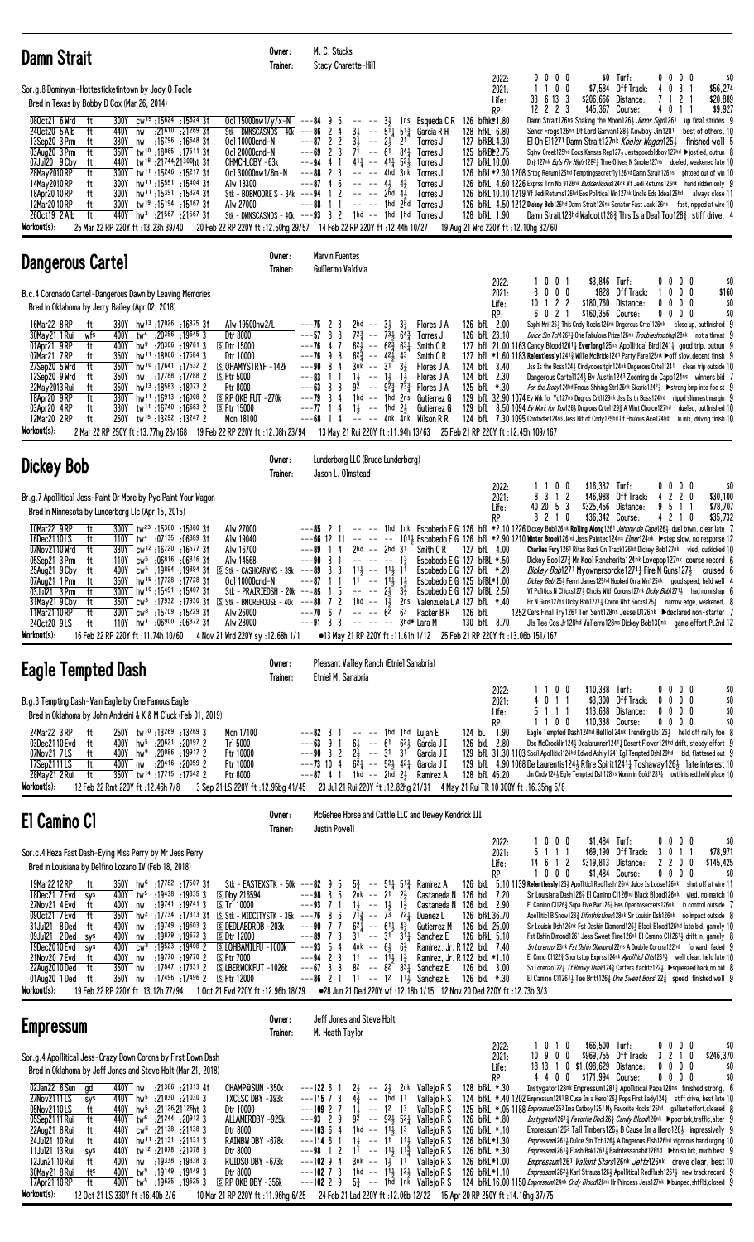| <b>Damn Strait</b>                                                                                                                                                                                                                                                                                                                                                                                                                                                                                                                                                                                                                                                                                                                                                                                                                                                                                                | Owner:<br>Trainer:                                                                                                                                                                                                                                                                                                                   | M. C. Stucks<br>Stacy Charette-Hill                                                                                                                                                                                                                                                                                                                                                                                                |                                                                                                                                                                                                                                                                                                                                                                                       |                                                                                                                                                                                                                               |                                                                                                                                         |                                                                                                                                                                                                                                                                                                                                                                                                                                                                                                                                                                                                                                                                                                                                                                                                                                                                                                                                                                                                                                                                                                                                     |
|-------------------------------------------------------------------------------------------------------------------------------------------------------------------------------------------------------------------------------------------------------------------------------------------------------------------------------------------------------------------------------------------------------------------------------------------------------------------------------------------------------------------------------------------------------------------------------------------------------------------------------------------------------------------------------------------------------------------------------------------------------------------------------------------------------------------------------------------------------------------------------------------------------------------|--------------------------------------------------------------------------------------------------------------------------------------------------------------------------------------------------------------------------------------------------------------------------------------------------------------------------------------|------------------------------------------------------------------------------------------------------------------------------------------------------------------------------------------------------------------------------------------------------------------------------------------------------------------------------------------------------------------------------------------------------------------------------------|---------------------------------------------------------------------------------------------------------------------------------------------------------------------------------------------------------------------------------------------------------------------------------------------------------------------------------------------------------------------------------------|-------------------------------------------------------------------------------------------------------------------------------------------------------------------------------------------------------------------------------|-----------------------------------------------------------------------------------------------------------------------------------------|-------------------------------------------------------------------------------------------------------------------------------------------------------------------------------------------------------------------------------------------------------------------------------------------------------------------------------------------------------------------------------------------------------------------------------------------------------------------------------------------------------------------------------------------------------------------------------------------------------------------------------------------------------------------------------------------------------------------------------------------------------------------------------------------------------------------------------------------------------------------------------------------------------------------------------------------------------------------------------------------------------------------------------------------------------------------------------------------------------------------------------------|
| Sor.g.8 Dominyun-Hottesticketintown by Jody 0 Toole<br>Bred in Texas by Bobby D Cox (Mar 26, 2014)<br>080ct21 6 Wrd<br>300Y cw <sup>15</sup> :15624 :15624 31<br>ft<br>240ct20 5 Alb<br>:21 <sup>610</sup> :21 <sup>269</sup> 31<br>ft<br>440Y<br>nw<br>13Sep20 3 Prm<br>330Y<br>:16 <sup>796</sup> :16 <sup>648</sup> 31<br>ft<br>nw<br>350Y tw <sup>10</sup> :18065:1751131<br>03Aug20 3 Prm<br>ft<br>07Jul20 9 Cby<br>440Y<br>tw <sup>18</sup> :21744:21300ht 31<br>ft<br>28May 2010 RP<br>ft<br>300Y tw <sup>11</sup> :15246:1521731<br>14May 2010 RP<br>hw <sup>11</sup> :15 <sup>551</sup> :15 <sup>404</sup> 31<br>300Y<br>ft<br>18Apr20 10 RP<br>300Y hw <sup>11</sup> :15391:15324 3t<br>ft<br>12Mar2010RP<br>ft<br>300Y tw <sup>19</sup> :15 <sup>194</sup> :1516731<br>ft<br>260ct19 2 Alb<br>440Y hw <sup>3</sup> :21567 :21567 31<br>Workout(s):<br>25 Mar 22 RP 220Y ft:13.23h 39/40                | Ocl 15000nw1/y/x-N $--$ -84 9 5<br>Stk - DWNSCASNOS - 40 $k$ ---86 2 4<br>Ocl 10000cnd-N<br>Ocl 20000cnd-N<br>CHMCHLCBY-63k<br>Ocl 30000nw1/6m-N<br>Alw 18300<br>Stk - BOBMOORE S - 34k --- $94$ 1 2<br>Alw 27000<br>Stk - DWNSCASNOS - $40k$ --- $93$ 3 2<br>20 Feb 22 RP 220Y ft: 12.50hg 29/57 14 Feb 22 RP 220Y ft: 12.44h 10/27 | $3\frac{1}{2}$<br>$---87222$<br>31<br>$-- 2\frac{1}{2}$<br>$---69$ 2 8<br>7 <sup>ī</sup> -- 6 <sup>ī</sup><br>$41\frac{1}{4}$ -- $41\frac{1}{4}$ 52 $\frac{1}{2}$<br>$---94$ 4 1<br>$---88223$<br>$---87$ 4 6<br>$----43$<br>-- -- 2hd 4½<br>$---88$ 1 1                                                                                                                                                                           | $--- 3\frac{1}{2}$ 1 ns Esqueda C R<br>$--\,51\frac{1}{4}\,51\frac{3}{4}$<br>Garcia R H<br>2 <sup>1</sup><br>Torres J<br>841<br>Torres J<br>Torres J<br>$---$ 4hd 3nk<br>Torres J<br>$4\frac{3}{4}$<br>Torres J<br>Torres J<br>$---$ 1hd 2hd Torres J<br>1hd -- 1hd 1hd Torres J                                                                                                      | 2022:<br>2021:<br>Life:<br>RP:<br>126 bfhk\*1.80<br>128 hfkL 6.80<br>127 bfkBL4.30<br>125 bfkB <sup>*</sup> 2.75<br>127 bfkL 10.00<br>128 bfkL 1.90<br>19 Aug 21 Wrd 220Y ft : 12.10hg 32/60                                  | 0000<br>100<br>\$206,666 Distance:<br>33 6 13 3<br>$12$ 2 2 3<br>\$45,367 Course:<br>Senor Frogs126ns Df Lord Garvan1283 Kowboy Jim1281 | \$0 Turf:<br>0 <sub>0</sub><br>$0\quad 0$<br>\$0<br>3 <sub>1</sub><br>\$7,584 Off Track:<br>4<br>0<br>\$56,274<br>\$20,889<br>$\mathcal{I}$<br>2<br>\$9,927<br>4011<br>Damn Strait126ns Shaking the Moon126} Junos Sign1261 up final strides 9<br>best of others, 10<br>El Oh E11271 Damn Strait127nk Kooler Wagon1253 finished well 5<br>Sginw Creek125hd Docs Kansas Rep127} Jestagoodoldboy127hd ▶jostled, outrun 8<br>Dnjr127nk Egls Fly Highr12821 Thre Olives N Smoke127ns dueled, weakened late 10<br>126 bfkL *2.30 1208 Srtog Return126hd Temptingsecretfly126hd Damn Strait126ns phtoed out of win 10<br>126 bfkL 4.60 1226 Exprss Trin No 9126nk Budderlicous124nk Vf Jedi Returns126nk hand ridden only 9<br>126 bfkL 10.10 1219 Vf Jedi Returns126hd Eos Political Win127nk Uncle Eds Idea126hd always close 11<br>126 bfkl. 4.50 1212 Dickey Bob126hd Damn Strait126ns Senator Fast Jack126ns fast, nipped at wire 10<br>Damn Strait128hd Walcott128 $\frac{3}{4}$ This Is a Deal Too128 $\frac{3}{4}$ stiff drive, 4                                                                                                 |
| <b>Dangerous Cartel</b>                                                                                                                                                                                                                                                                                                                                                                                                                                                                                                                                                                                                                                                                                                                                                                                                                                                                                           | Owner:<br>Trainer:                                                                                                                                                                                                                                                                                                                   | <b>Marvin Fuentes</b><br>Guillermo Valdivia                                                                                                                                                                                                                                                                                                                                                                                        |                                                                                                                                                                                                                                                                                                                                                                                       |                                                                                                                                                                                                                               |                                                                                                                                         |                                                                                                                                                                                                                                                                                                                                                                                                                                                                                                                                                                                                                                                                                                                                                                                                                                                                                                                                                                                                                                                                                                                                     |
| B.c.4 Coronado Cartel-Dangerous Dawn by Leaving Memories<br>Bred in Oklahoma by Jerry Bailey (Apr 02, 2018)<br>16Mar22 8RP<br>ft<br>330Y hw <sup>13</sup> :17026:16875 31<br>:20356 :19645 3<br>30Mav21 1 Rui<br>wfs<br>400Y<br>tw <sup>4</sup><br>01Apr21 9RP<br>400Y hw <sup>9</sup> :20 <sup>306</sup> :19761 3<br>ft<br>07Mar21 7RP<br>350Y hw <sup>11</sup> :18066 :17584 3<br>ft<br>ft<br>350Y hw <sup>10</sup> :17641:17532 2<br>27Sep20 5 Wrd<br>12Sep20 9 Wrd<br>:17 <sup>788</sup> :17 <sup>788</sup> 2<br>ft<br>350Y<br>nw<br>22May 2013 Rui<br>350Y hw <sup>13</sup> :18583:180732<br>ft<br>330Y hw <sup>11</sup> :16913 :16908 2<br>18Apr20 9RP<br>ft<br>03Apr20 4RP<br>tw <sup>11</sup> :16 <sup>740</sup> :16 <sup>663</sup> 2<br>ft<br>330Y<br>12Mar20 2RP<br>ft<br>250Y tw <sup>15</sup> :13292:13247 2<br>Workout(s):<br>2 Mar 22 RP 250Y ft :13.77hg 28/168 19 Feb 22 RP 220Y ft :12.08h 23/94 | Alw 19500nw2/L<br>Dtr 8000<br><b>SDtr 15000</b><br>Dtr 10000<br><b>SOHAMYSTRYF-142k</b><br><b>SFtr 5000</b><br>Ftr 8000<br>$\Box$ RP OKB FUT -270 $k$<br><b>SFtr 15000</b><br>Mdn 18100                                                                                                                                              | ---75 2 3<br>$2hd$ --<br>$---57$ 8 8<br>723<br>$6^{2}\frac{1}{2}$ -- $6^{2}\frac{5}{4}$ $6^{3}\frac{1}{4}$<br>$---76$ 4 7<br>$---76$ 9 8<br>$62\frac{3}{4}$ -- $42\frac{1}{2}$ $43$<br>$---90$ 8 4<br>3nk -- 31<br>$1\frac{1}{2}$<br>---83<br>$- - 1\frac{1}{2}$<br>1 1<br>$---63$ 3 8<br>$1hd - - 1hd$<br>$---79$ 3 4<br>$---77$ 14<br>$1\frac{1}{2}$ -- 1hd $2\frac{1}{2}$<br>$---68$ 14<br>13 May 21 Rui 220Y ft : 11.94h 13/63 | $3\frac{1}{2}$<br>$3\frac{3}{4}$<br>Flores J A<br>$--73\frac{1}{2}$<br>$64\frac{3}{7}$<br>Torres J<br>Smith C R<br>Smith C R<br>$3\frac{3}{4}$<br>Flores J A<br>$1\frac{1}{2}$<br>Flores J A<br>$92 - 92\frac{3}{2}73\frac{3}{2}$<br>Flores J A<br>2ns<br>Gutierrez G<br>Gutierrez G<br>-- -- 4nk 4nk Wilson R R                                                                      | 2022:<br>2021:<br>Life:<br>RP:<br>126 bfL 2.00<br>126 bfL 23.10<br>124 bfL 3.40<br>124 bfL 2.30<br>125 bfL *.30<br>25 Feb 21 RP 220Y ft: 12.45h 109/167                                                                       | \$3,846 Turf:<br>$0 \t0 \t1$<br>3000<br>$10$ 1 2 2<br>\$180,760 Distance:<br>\$160.356 Course:<br>6021                                  | $0\quad 0$<br>$0\quad 0$<br>\$0<br>\$828 Off Track:<br>0 <sub>0</sub><br>\$160<br>0<br>$0\ 0\ 0$<br>\$0<br>0<br>\$0<br>0000<br>Sophi Mri126} This Cndy Rocks126nk Dngerous Crte1126nk close up, outfinished 9<br>Dulce Sin Tch12631 One Fabulous Prize126nk Troubleshooting128nk not a threat 9<br>127 bfl. 21.00 1163 Candy Blood1261 <sub>2</sub> Everlong125ns Apollitical Bird1241 <sub>2</sub> good trip, outrun 9<br>127 bfL *1.60 1183 Relentlessly1241 <sub>3</sub> Willie McBride1241 Party Fare125nk ▶off slow, decent finish 9<br>Jss Is the Boss1243 Cindydoesitgin124 <sup>nk</sup> Dngerous Crtel1241 clean trip outside 10<br>Dangerous Cartel 124 By Austin 124 3 Zooming de Capo 124ns winners bid 7<br>For the Irony124hd Fmous Shining Str126nk Sikario12423 > strong bmp into foe st 9<br>129 bfL 32.90 1074 Ey Wrk for Yo127ns Dngros Crt1129nk Jss Is th Boss124hd nippd slimmest margin 9<br>129 bfl. 8.50 1094 Ey Work for You126} Dngrous Crte1129} A Vlint Choice127hd dueled, outfinished 10<br>124 bfL 7.30 1095 Contnder124ns Jess Bit of Cndy125hd Df Fbulous Ace124hd in mix, driving finish 10      |
| <b>Dickey Bob</b>                                                                                                                                                                                                                                                                                                                                                                                                                                                                                                                                                                                                                                                                                                                                                                                                                                                                                                 | Owner:<br>Trainer:                                                                                                                                                                                                                                                                                                                   | Lunderborg LLC (Bruce Lunderborg)<br>Jason L. Olmstead                                                                                                                                                                                                                                                                                                                                                                             |                                                                                                                                                                                                                                                                                                                                                                                       |                                                                                                                                                                                                                               |                                                                                                                                         |                                                                                                                                                                                                                                                                                                                                                                                                                                                                                                                                                                                                                                                                                                                                                                                                                                                                                                                                                                                                                                                                                                                                     |
| Br.g.7 Apollitical Jess-Paint Or More by Pyc Paint Your Wagon<br>Bred in Minnesota by Lunderborg L1c (Apr 15, 2015)<br>10Mar22 9RP<br>ft<br>300Y tw <sup>23</sup> :15360:1536031<br>16Dec2110LS<br>110Y tw <sup>4</sup> :07135 :06889 31<br>ft<br>07Nov2110 Wrd<br>330Y cw <sup>12</sup> :16720:1657731<br>ft<br>110Y cw <sup>5</sup> :06816 :06816 31<br>05Sep21 3 Prm<br>ft<br>cw <sup>5</sup> :19894:1989431<br>25Aug21 9 Cby<br>ft<br>400Y<br>ft<br>350Y hw <sup>15</sup> :17728:1772831<br>07Aug21 1 Prm<br>300Y hw <sup>10</sup> :15491 :15407 3t<br>03Jul21 3 Prm<br>ft<br>350Y cw <sup>3</sup> :17932:17930 31 SStk-BMOREHOUSE-40k ---88 7 2 1hd -- 13 2ns Valenzuela LA 127 bfL *.40<br>31May21 9 Cby<br>ft<br>$300Y$ cw <sup>8</sup> :15709 :15229 31<br>11Mar21 10 RP<br>ft<br>$110Y$ hw <sup>1</sup> :06900 :06872 31<br>240ct20 9LS<br>ft<br>Workout(s):<br>16 Feb 22 RP 220Y ft :11.74h 10/60       | Alw 27000<br>Alw 19040<br>Alw 16700<br>Alw 14568<br>$\boxed{5}$ Stk - CASHCARVNS - 39k ---89 3 3<br>Oc1 10000cnd-N<br>Stk - PRAIRIEDSH - 20k - - - 85 1 5 -- -- $2\frac{1}{2}$ $3\frac{3}{4}$<br>Alw 26000<br>Alw 28000<br>4 Nov 21 Wrd 220Y sy: 12.68h 1/1                                                                          | $---85$ 2 1<br>$ -$<br>$\sim$ $-$<br>$---66$ 12 11 $---$<br>14<br>2hd<br>---89<br>$---90$ 3 1<br>$--- - - - 12$<br>$11\frac{1}{2}$ -- $11\frac{1}{2}$ 11<br>$---87$ 1 1<br>$11 - -11\frac{1}{2}$ $1\frac{1}{2}$<br>$--- 6^{\overline{2}} 6^3$<br>$---70$ 6 7<br>$---91 \quad 3 \quad 3 \quad --- \quad --- \quad 3hd*$ Lara M                                                                                                      | $ -$<br>-- 2hd 31<br>Smith C R<br>Packer B R<br>•13 May 21 RP 220Y ft: 11.61h 1/12 25 Feb 21 RP 220Y ft: 13.06b 151/167                                                                                                                                                                                                                                                               | 2022:<br>2021:<br>Life:<br>RP:<br>127 bfL 4.00<br>Escobedo E G 127 bfBL *.50<br>Escobedo E G $127$ bfL $*$ .20<br>Escobedo E G 125 bfBL*1.00<br>Escobedo E G 127 bfBL 2.50<br>126 bfL<br>130 bfL 8.70                         | \$16,332 Turf:<br>1100<br>8 3 1 2<br>\$46,988<br>40 20 5 3<br>\$325,456<br>8 2 1 0<br>\$36,342 Course:                                  | $0\quad 0$<br>$0\quad 0$<br>\$0<br>Off Track:<br>42<br>$\overline{c}$<br>0<br>\$30,100<br>Distance:<br>95<br>\$78,707<br>$\overline{1}$<br>\$35,732<br>421<br>0<br>1hd 1nk Escobedo E G 126 bfL *2.10 1226 Dickey Bob126nk Rolling Along1261 Johnny de Capo126} duel btwn, clear late 7<br>101} Escobedo E G 126 bfl. *2.90 1210 Winter Brook126hd Jess Painted124ns Elmer124nk ▶step slow, no response 12<br>Charlies Fury 1261 Ritas Back On Track 126hd Dickey Bob127nk vied, outkicked 10<br>Dickey Bob1273 Mr Kool Rancherita124nk Lovepop127nk course record 6<br><i>Dickey Bob</i> 1271 Myownersbroke1271 <sub>2</sub> Fire N Guns1273 cruised 6<br>Dickey Bob1253 Ferrri James125hd Hooked On a Win125nk good speed, held well 4<br>Vf Politics N Chicks127} Chicks With Corons127nk Dicky Bob1271} had no mishap 6<br>Fir N Guns127ns Dicky Bob12711 Coron Whit Socks1251 narrow edge, weakened, 8<br>1252 Cers Final Try1261 Ten Sent128ns Jesse D126nk Declared non-starter 7<br>Jls Tee Cos Jr128hd Vallerro128ns Dickey Bob130nk game effort, PL2nd 12                                                                 |
| Eagle Tempted Dash                                                                                                                                                                                                                                                                                                                                                                                                                                                                                                                                                                                                                                                                                                                                                                                                                                                                                                | Owner:<br>Trainer:                                                                                                                                                                                                                                                                                                                   | Pleasant Valley Ranch (Etniel Sanabria)<br>Etniel M. Sanabria                                                                                                                                                                                                                                                                                                                                                                      |                                                                                                                                                                                                                                                                                                                                                                                       |                                                                                                                                                                                                                               |                                                                                                                                         |                                                                                                                                                                                                                                                                                                                                                                                                                                                                                                                                                                                                                                                                                                                                                                                                                                                                                                                                                                                                                                                                                                                                     |
| B.g.3 Tempting Dash-Vain Eagle by One Famous Eagle<br>Bred in Oklahoma by John Andreini & K & M Cluck (Feb 01, 2019)<br>250Y tw <sup>10</sup> :13269:132693<br>24Mar22 3 RP<br>ft<br>400Y hw <sup>5</sup> :20621 :20197 2<br>03Dec2110 Evd<br>ft<br>400Y hw <sup>9</sup> :20086 :19917 2<br>07Nov21 7LS<br>ft<br>:20416 :20059 2<br>17Sep2111LS<br>ft<br>400Y nw<br>ft<br>350Y tw <sup>14</sup> :17715:17642 2<br>28May21 2 Rui<br>Workout(s):<br>12 Feb 22 Rmt 220Y ft: 12.46h 7/8                                                                                                                                                                                                                                                                                                                                                                                                                               | Mdn 17100<br>Trl 5000<br>Ftr 10000<br>Ftr 10000<br>Ftr 8000<br>3 Sep 21 LS 220Y ft: 12.95bg 41/45                                                                                                                                                                                                                                    | $---82 \quad 3 \quad 1$<br>$---63$ 9 1<br>$---90 \quad 3 \quad 2$<br>$---73$ 10 4<br>$---87$ 4 1 1 hd $---2h\bar{d}$ 2 Ramirez A                                                                                                                                                                                                                                                                                                   | $---$ 1hd 1hd Lujan E<br>$6\frac{1}{2}$ -- $61$ $62\frac{1}{2}$ Garcia J I<br>$2\overline{3}$ -- 31 31<br>Garcia J I<br>$6^2$ $\frac{1}{4}$ -- $5^2$ $\frac{1}{2}$ $4^2$ $\frac{1}{4}$ Garcia J I<br>23 Jul 21 Rui 220Y ft :12.82hg 21/31 4 May 21 Rui TR 10 300Y ft :16.35hg 5/8                                                                                                     | 2022:<br>2021:<br>Life:<br>RP:<br>124 bL 1.90<br>126 bkL 2.80<br>128 bfL 45.20                                                                                                                                                | \$10,338 Turf:<br>1100<br>4 0 1 1<br>\$13,638 Distance:<br>5 1 1 1<br>1100<br>\$10,338 Course:                                          | 0 <sub>0</sub><br>00<br>\$0<br>$$3,300$ Off Track:<br>$0\quad 0$<br>\$0<br>0<br>0<br>\$0<br>0000<br>\$0<br>$0\ 0\ 0\ 0$<br>Eagle Tempted Dash124hd Helllo124nk Trending Up1263 held off rally foe 8<br>Doc McCrocklin1243 Dealarunner12411 Desert Flower124hd drift, steady effort 9<br>129 bfl. 31.30 1103 Spcil Apollitic1124hd Edwrd Ashly1241 Egl Tempted Dsh129hd bid, flattened out 9<br>129 bfl 4.90 1068 De Laurentis1243 Rfire Spirit1241 1 Toshaway1263 late interest 10<br>Jm Cndy124½ Egle Tempted Dsh128ns Womn in Gold1281½ outfinished, held place 10                                                                                                                                                                                                                                                                                                                                                                                                                                                                                                                                                                |
| El Camino Cl                                                                                                                                                                                                                                                                                                                                                                                                                                                                                                                                                                                                                                                                                                                                                                                                                                                                                                      | Owner:<br>Trainer:                                                                                                                                                                                                                                                                                                                   | Justin Powell                                                                                                                                                                                                                                                                                                                                                                                                                      | McGehee Horse and Cattle LLC and Dewey Kendrick III                                                                                                                                                                                                                                                                                                                                   |                                                                                                                                                                                                                               |                                                                                                                                         |                                                                                                                                                                                                                                                                                                                                                                                                                                                                                                                                                                                                                                                                                                                                                                                                                                                                                                                                                                                                                                                                                                                                     |
| Sor.c.4 Heza Fast Dash-Eying Miss Perry by Mr Jess Perry<br>Bred in Louisiana by Delfino Lozano IV (Feb 18, 2018)<br>19Mar2212RP<br>350Y hw <sup>6</sup> :17782 :17507 31<br>ft<br>18Dec21 7 Evd<br>400Y tw <sup>5</sup> :19438 :19335 3<br>sys<br>27Nov21 4 Evd<br>:19741 :19741 3<br>ft<br>400Y<br>nw<br>350Y hw <sup>2</sup> :1734:17313 31 SStk - MIDCITYSTK - 35k ---76 8 6<br>090ct21 7 Evd<br>ft<br>:19749 :19603 3<br>31Jul21 8Ded<br>ft<br>400Y nw<br>09Jul21 2Ded<br>:19879 :19672 3<br>400Y<br>sys<br>nw<br>$cw^3$ :19523 :19408 2<br>19Dec2010 Evd<br>400Y<br>sys<br>21Nov20 7 Evd<br>ft<br>400Y<br>:19770 :19770 2<br>nw<br>22Aug2010Ded<br>350Y nw<br>:17847 :17331 2<br>ft<br>:17496 :17496 2<br>350Y<br>01Aug20 1 Ded<br>ft<br>nw<br>Workout(s):<br>19 Feb 22 RP 220Y ft: 13.12h 77/94                                                                                                            | Stk - EASTEXSTK - 50k ---82 $9\,5$<br><b>SDby 216594</b><br>国Trl 10000<br><b>SIDEDLABDRDB-203k</b><br><b>SDtr 12000</b><br>SLQHBAMILFU -1000k<br><b>SFtr 7000</b><br><b>SLBERWCKFUT -1026k</b><br>s Ftr 12000<br>1 Oct 21 Evd 220Y ft :12.96b 18/29                                                                                  | $---98$ 3 5<br>$2nk$ -- $21 \t2\frac{3}{4}$<br>$--93$ 7 1<br>$1\frac{1}{2}$ -- $1\frac{1}{2}$ $1\frac{3}{4}$<br>$7^{13}$<br>$---90$ 7 7<br>$6^{2}$<br>$---89$ 7 3<br>$--93$ 54<br>4nk -- $6\frac{1}{2}$ $6\frac{3}{4}$<br>$---94$ 2 3<br>$11 - - 11\frac{1}{2}1\frac{3}{4}$<br>$---67$ 3 8<br>$---86$ 2 1                                                                                                                          | $5\frac{3}{4}$ -- $5^{1}\frac{1}{4}$ $5^{1}\frac{3}{4}$ Ramirez A<br>Castaneda N<br>$- - 7^{\frac{1}{3}} 7^{\frac{1}{2}}$<br>Duenez L<br>$-- 61\frac{1}{2}$ $4\frac{3}{4}$<br><b>Gutierrez M</b><br>$31 - 31$ $31$<br>Sanchez E<br>$8^2$ -- $8^{2}$ $8^{3}$ Sanchez E<br>11 -- 12 11 <sup>j</sup> Sanchez E<br>● 28 Jun 21 Ded 220Y wf: 12.18b 1/15 12 Nov 20 Ded 220Y ft: 12.73b 3/3 | 2022:<br>2021:<br>Life:<br>RP:<br>126 bkL 7.20<br>Castaneda N 126 bkL 2.90<br>126 bfkL 36.70<br>126 bkL 25.00<br>126 bfkL 5.10<br>Ramirez, Jr. R 122 bkL 7.40<br>Ramirez, Jr. R 122 bkL *1.10<br>126 bkL 3.00<br>126 bkL *.30 | 1000<br>$$1,484$ Turf:<br>5 1 1 1<br>\$319,813<br>14 6 1 2<br>$0\quad 0\quad 0$<br>\$1,484 Course:                                      | 0000<br>\$0<br>\$69,190 Off Track:<br>3<br>1 <sup>1</sup><br>\$78,971<br>0<br>\$145,425<br>Distance:<br>22<br>$0\quad 0$<br>00<br>0<br>0<br>\$0<br>126 bkl 5.10 1139 Relentlessly126} Apolliticl Redflash126nk Juice Is Loose126nk shut off at wire 11<br>Sir Louisiana Dash1263 El Camino C1126hd Black Blood126nk vied, no match 10<br>El Camino C11263 Supa Five Bar1263 Hes Opentosecrets126nk in control outside 7<br>Apolliticl B Snow1283 Lifinthfstlnes128nk Sir Louisin Dsh126nk no impact outside 8<br>Sir Louisin Dsh126nk Fst Dashin Diamond126} Black Blood126hd late bid, gamely 10<br>Fst Dshin Dimond1261 Jess Sweet Time126nk El Camino C11261 <sub>2</sub> drift in, gamely 8<br>Sn Lorenzo123nk Fst Dshin Diamond122ns A Double Corona122hd forward, faded 9<br>El Cmno C11223 Shortstop Exprss124nk Apolitici Chis12313 well clear, held late 10<br>Sn Lorenzo122} Tf Runwy Dshin124} Carters Yachtz122} ▶ squeezed back, no bid 8<br>El Camino C112611 Tee Britt126 $\frac{3}{4}$ One Sweet Boss122 $\frac{3}{4}$ speed, finished well 9                                                                       |
| <b>Empressum</b>                                                                                                                                                                                                                                                                                                                                                                                                                                                                                                                                                                                                                                                                                                                                                                                                                                                                                                  | Owner:<br>Trainer:                                                                                                                                                                                                                                                                                                                   | Jeff Jones and Steve Holt<br>M. Heath Taylor                                                                                                                                                                                                                                                                                                                                                                                       |                                                                                                                                                                                                                                                                                                                                                                                       |                                                                                                                                                                                                                               |                                                                                                                                         |                                                                                                                                                                                                                                                                                                                                                                                                                                                                                                                                                                                                                                                                                                                                                                                                                                                                                                                                                                                                                                                                                                                                     |
| Sor.g.4 Apollitical Jess-Crazy Down Corona by First Down Dash<br>Bred in Oklahoma by Jeff Jones and Steve Holt (Mar 21, 2018)<br>02Jan22 6 Sun<br>440Y nw<br>:21 <sup>366</sup> :21 <sup>313</sup> 41<br>gd<br>27Nov2111LS<br>440Y hw <sup>5</sup> :21030 :21030 3<br>sys<br>440Y hw <sup>5</sup> :21126:21126ht 3<br>05Nov2110LS<br>ft<br>440Y tw <sup>6</sup> :21244 :20912 3<br>05Sep2111 Rui<br>ft<br>440Y cw <sup>6</sup> :21138 :21138 3<br>22Aug21 8 Rui<br>ft<br>440Y hw <sup>11</sup> :21131 :21131 3<br>24Jul21 10 Rui<br>ft<br>11Jul21 13 Rui<br>1078 21078 21078 3<br>440Y<br>sys<br>400Y nw :19338 :19338 3<br>12Jun21 10 Rui<br>ft<br>400Y tw <sup>9</sup> :19149 :19149 3<br>30May21 8 Rui<br>fts<br>400Y tw <sup>5</sup> :19625 :19625 3<br>17Apr21 10 RP<br>ft<br>Workout(s):<br>12 Oct 21 LS 330Y ft: 16.40b 2/6                                                                                | <b>CHAMP@SUN -350k</b><br>TXCLSC DBY -393k<br>Dtr 10000<br>ALLAMERDBY -929k<br>Dtr 8000<br>RAINBW DBY -678k<br>Dtr 8000<br>RUIDSO DBY -673k<br>Dtr 8000<br>$\boxed{5}$ RP OKB DBY -356k<br>10 Mar 21 RP 220Y ft: 11.96hg 6/25                                                                                                        | $2\frac{1}{2}$<br>$---122$ 6 1<br>$4\frac{3}{4}$<br>$--115$ 7 3<br>$1\frac{1}{2}$<br>$---10927$<br>$---93$ 2 9<br>$---10364$<br>$---11461$<br>$---98$ 1 2 11 $---$ 11, 11, Vallejo R S<br>$---102$ 9 4 $3nk$ $--$ 1 $\frac{1}{2}$ 11 Vallejo R S<br>$---102$ 7 3 1hd $---11\frac{1}{2}$ 1 <sup>2</sup> Vallejo R S<br>$- -102$ 2 9 $5\frac{3}{4}$ $- - 10\frac{3}{4}$ 1nk Vallejo R S                                              | -- 2½ 2nk Vallejo R S<br>-- 1hd 11<br>Vallejo R S<br>$--$ 12 13<br>Vallejo R S<br>$9^{\frac{1}{2}}$ -- $9^{\frac{1}{2}}$ $5^{\frac{1}{4}}$ Vallejo R S<br>1hd -- 11, 13<br>Valleio R S<br>$1\frac{1}{2}$ -- 11 11, Vallejo R S<br>24 Feb 21 Lad 220Y ft: 12.06b 12/22 15 Apr 20 RP 250Y ft: 14.16hg 37/75                                                                             | 2022:<br>2021:<br>Life:<br>RP:<br>128 bfkL *.30<br>126 bfkL *.80<br>126 bfkL *.10<br>126 bfkL*1.30<br>126 bfkL *.30<br>126 bfkL*1.00<br>126 bfkL*1.10                                                                         | \$66,500 Turf:<br>1010<br>10900<br>\$969,755 Off Track:<br>18 13 1 0 \$1,098,629 Distance:<br>4 4 0 0 \$171,994 Course:                 | $0\ 0\ 0\ 0$<br>\$0<br>3 2 1 0<br>\$246,370<br>0000<br>\$0<br>\$0<br>0000<br>Instygator128nk Empressum12813 Apollitical Papa128ns finished strong, 6<br>124 bfkL *.40 1202 Empressum 1241 B Cuse Im a Hero1263 Pops First Lady 124 $\frac{3}{4}$ stiff drive, best late 10<br>125 bfkL *.05 1188 Empressum1253 Ima Catboy1251 My Favorite Hocks125hd gallant effort, cleared 8<br>Instygator1261 <sub>4</sub> Favorite Doc126 <sub>4</sub> Candy Blood126nk Ppoor brk, traffic, alter 9<br>Empressum 1263 Tall Timbers 126 $\frac{1}{2}$ B Cause Im a Hero 126 $\frac{1}{2}$ impressively 9<br><i>Empressum</i> 1261 <sup>1</sup> Dulce Sin Tch126 <sup>1</sup> A Dngerous Flsh126hd vigorous hand urging 10<br><i>Empressum</i> 1261 <sub>3</sub> Flash Bak1261 <sub>4</sub> Badntessahabit126hd ▶brush brk, much best 9<br><i>Empressum</i> 1261 <i>Valiant Stars</i> 126 <sup>nk</sup> <i>Jettz</i> 126 <sup>nk</sup> drove clear, best 10<br>Empressum12623 Karl Strauss1263 Apollitical Redflash12613 new track record 9<br>124 bfkl 16.00 1150 Empressum124nk Cndy Blood126nk Hr Princess Jess127nk >bumped, shffld, closed 9 |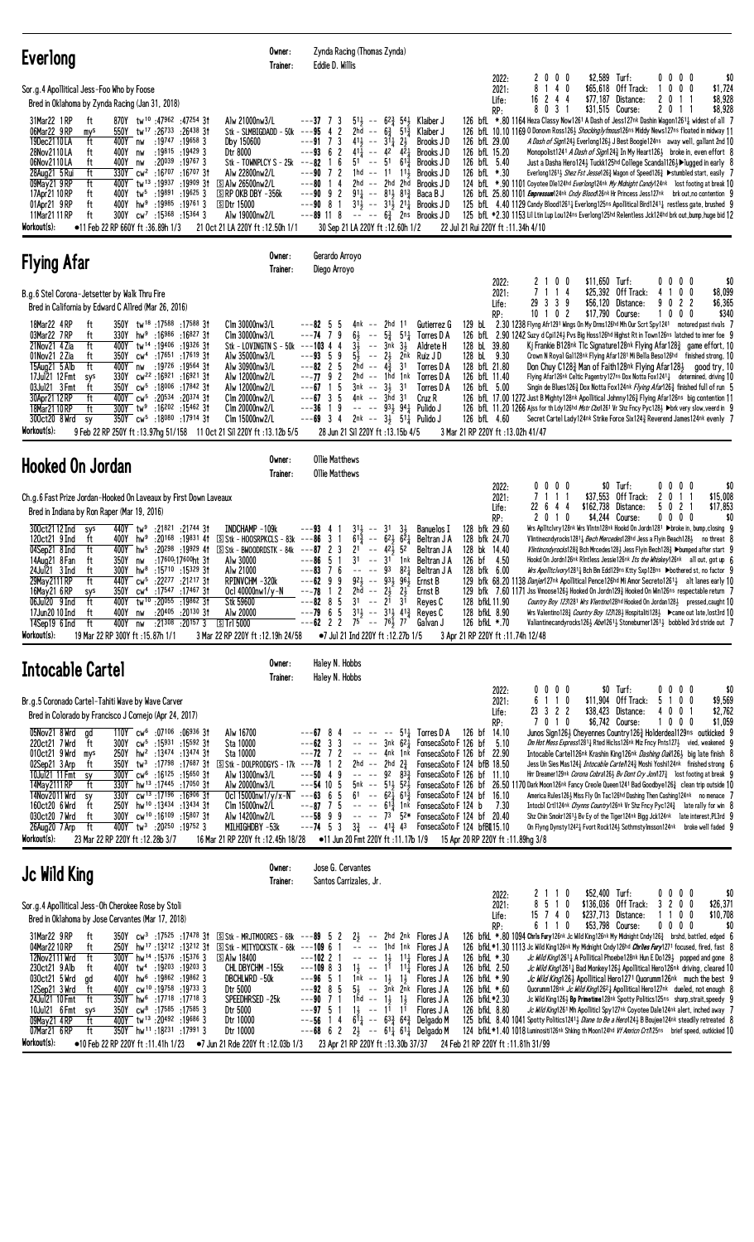| <b>Everlong</b>                                                                                                                                                                                                                                                                                                                                                                                                                                                                                                                                                                                                                                                                                                                                                                                                                                                                                  | Owner:<br>Trainer:                                                                                                                                                                                                                                                                                                     | Zynda Racing (Thomas Zynda)<br>Eddie D. Willis                                                                                                                                                                                                                                                                                                                                                                    |                                                                                                                                                                                                                                                                                                                                                                                                                                |                                                                                                                                                                                                                                                                                         |                                                                                                                                                                                                           |                                             |                                                                                 |                                                                                                                                                                                                                                                                                                                                                                                                                                                                                                                                                                                                                                                                                                                                                                                                                                                                                                                                                                                                                                                                               |
|--------------------------------------------------------------------------------------------------------------------------------------------------------------------------------------------------------------------------------------------------------------------------------------------------------------------------------------------------------------------------------------------------------------------------------------------------------------------------------------------------------------------------------------------------------------------------------------------------------------------------------------------------------------------------------------------------------------------------------------------------------------------------------------------------------------------------------------------------------------------------------------------------|------------------------------------------------------------------------------------------------------------------------------------------------------------------------------------------------------------------------------------------------------------------------------------------------------------------------|-------------------------------------------------------------------------------------------------------------------------------------------------------------------------------------------------------------------------------------------------------------------------------------------------------------------------------------------------------------------------------------------------------------------|--------------------------------------------------------------------------------------------------------------------------------------------------------------------------------------------------------------------------------------------------------------------------------------------------------------------------------------------------------------------------------------------------------------------------------|-----------------------------------------------------------------------------------------------------------------------------------------------------------------------------------------------------------------------------------------------------------------------------------------|-----------------------------------------------------------------------------------------------------------------------------------------------------------------------------------------------------------|---------------------------------------------|---------------------------------------------------------------------------------|-------------------------------------------------------------------------------------------------------------------------------------------------------------------------------------------------------------------------------------------------------------------------------------------------------------------------------------------------------------------------------------------------------------------------------------------------------------------------------------------------------------------------------------------------------------------------------------------------------------------------------------------------------------------------------------------------------------------------------------------------------------------------------------------------------------------------------------------------------------------------------------------------------------------------------------------------------------------------------------------------------------------------------------------------------------------------------|
| Sor.g.4 Apollitical Jess-Foo Who by Foose<br>Bred in Oklahoma by Zynda Racing (Jan 31, 2018)<br>31Mar22 1 RP<br>870Y tw <sup>10</sup> :47962:4725431<br>ft<br>06Mar22 9RP<br>550Y<br>tw <sup>17</sup> :26 <sup>733</sup> :26 <sup>438</sup> 31<br>mys<br>19Dec2110LA<br>ft<br>400Y<br>:19747<br>$:19658$ 3<br>nw<br>28Nov2110LA<br>:19815 :19429 3<br>400Y<br>ft<br>nw<br>:20039 :19767 3<br>06Nov2110LA<br>ft<br>400Y<br>nw<br>:1670731<br>28Aug21 5 Rui<br>ft<br>330Y cw <sup>2</sup> :16707<br>$^{-}$ tw <sup>13</sup> :19937<br>$:19909$ 3t<br>09May21 9 RP<br>ft<br>400Y<br>tw5<br>:19891<br>:196253<br>17Apr21 10 RP<br>ft<br>400Y<br>01Apr21 9RP<br>400Y hw <sup>9</sup> :19985 :19761 3<br>ft<br>11Mar21 11 RP<br>ft<br>300Y<br>$cw^7$ :15368 :15364 3<br>Workout(s):<br>$\bullet$ 11 Feb 22 RP 660Y ft :36.89h 1/3                                                                      | Alw 21000nw3/L<br>$Stk - SLMBIGDADD - 50k - - -95$<br>Dby 150600<br>Dtr 8000<br>Stk - TOWNPLCY S - 25 $k$ ---82<br>Alw 22800nw2/L<br>S Alw 26500nw2/L<br>$\Box$ RP OKB DBY -356 k<br><b>SDtr 15000</b><br>Alw 19000nw2/L<br>21 Oct 21 LA 220Y ft: 12.50h 1/1                                                           | $---37$ 7 3<br>42<br>$---917$<br>3<br>411<br>$4^{11}$<br>$---93$ 6 2<br>6<br>$\overline{1}$<br>$---90$ 7 2<br>$1\;4$<br>---80<br>$---90 \t 9 \t 2$<br>$---908$<br>-1<br>$---89$ 11 8<br>30 Sep 21 LA 220Y ft: 12.60h 1/2                                                                                                                                                                                          | $5^{1\frac{1}{2}}$ -- $6^{2\frac{3}{4}}$ 5 <sup>4</sup> Klaiber J<br>2hd -- $6\frac{3}{4}$ 51 <sup>3</sup> / <sub>2</sub><br>$--$ 31 $\frac{1}{4}$<br>$2\frac{1}{2}$<br>$--$ 42 42 <sup>1</sup><br>$51 - 51$<br>$61\frac{3}{7}$<br>$1hd - 11$ $11\frac{1}{2}$<br>2hd -- 2hd 2hd<br>$91\frac{1}{2}$ -- $81\frac{1}{2}$ $81\frac{3}{2}$ Baca B J<br>$3^{11}$ -- $3^{11}$ $2^{11}$ Brooks JD<br>$--- 6\frac{3}{4}$ 2ns Brooks J D | Klaiber J<br>Brooks JD<br>Brooks J D<br>Brooks J D<br>Brooks JD<br>Brooks J D                                                                                                                                                                                                           | 2022:<br>2021:<br>Life:<br>RP:<br>126 bfL 29.00<br>126 bfL 15.20<br>126 bfL 5.40<br>126 bfL *.30<br>22 Jul 21 Rui 220Y ft : 11.34h 4/10                                                                   | 2000<br>8<br>140<br>244<br>16<br>8 0 3 1    | \$2.589 Turf:<br>\$65,618 Off Track:<br>\$77,187 Distance:<br>\$31,515 Course:  | \$0<br>0000<br>1000<br>\$1,724<br>\$8,928<br>201<br>-1<br>\$8,928<br>201<br>-1<br>126 bfL *.80 1164 Heza Classy Now1261 A Dash of Jess127nk Dashin Wagon12611 widest of all 7<br>126 bfL 10.10 1169 0 Donovn Ross126½ <i>Shockinglyfmous</i> 126ns Middy News127ns floated in midway 11<br>A Dash of Sign124} Everlong126} J Best Boogie124ns away well, gallant 2nd 10<br>Monopolist1241 <i>A Dash of Sign</i> 124 <sup>3</sup> In My Heart1263 broke in, even effort 8<br>Just a Dasha Hero124} Tuckk125hd College Scanda1126}▶lugged in early 8<br>Everlong1261} Shez Fst Jesse1263 Wagon of Speed1263 ▶ stumbled start, easily 7<br>124 bfl. *.90 1101 Coyotee Dle124hd Everlong124nk My Midnight Candy124nk lost footing at break 10<br>126 bfl. 25.80 1101 <i>Empressum</i> 124nk <i>Cndy Blood</i> 126nk Hr Princess Jess 127nk brk out, no contention 9<br>125 bfl. 4.40 1129 Candy Blood12611 Everlong125ns Apollitical Bird12411 restless gate, brushed 9<br>125 bfl. *2.30 1153 Lil Ltin Lup Lou124ns Everlong125hd Relentless Jck124hd brk out, bump, huge bid 12 |
| <b>Flying Afar</b>                                                                                                                                                                                                                                                                                                                                                                                                                                                                                                                                                                                                                                                                                                                                                                                                                                                                               | Owner:<br>Trainer:                                                                                                                                                                                                                                                                                                     | Gerardo Arroyo<br>Diego Arroyo                                                                                                                                                                                                                                                                                                                                                                                    |                                                                                                                                                                                                                                                                                                                                                                                                                                |                                                                                                                                                                                                                                                                                         |                                                                                                                                                                                                           |                                             |                                                                                 |                                                                                                                                                                                                                                                                                                                                                                                                                                                                                                                                                                                                                                                                                                                                                                                                                                                                                                                                                                                                                                                                               |
| B.g.6 Stel Corona-Jetsetter by Walk Thru Fire<br>Bred in California by Edward C Allred (Mar 26, 2016)<br>18Mar22 4RP<br>ft<br>350Y tw <sup>18</sup> :17588 :17588 3t<br>03Mar22 7RP<br>330Y hw <sup>9</sup> :16986 :16827 31<br>ft<br>ft<br>21Nov21 4 Zia<br>400Y tw <sup>14</sup> :19406:19326 31<br>01Nov21 2 Zia<br>350Y cw <sup>4</sup> :17651 :17619 31<br>ft<br>15Aug21 5 Alb<br>ft<br>400Y nw<br>:19726 :19564 3†<br>$cw^{22}$ :16921 :16921 31<br>17Ju121 12 Fmt<br>330Y<br>sys<br>350Y cw <sup>5</sup> :18006 :17842 31<br>03Jul21 3 Fmt<br>ft<br>30Apr21 12 RP<br>ft<br>400Y cw <sup>5</sup> :20534<br>:20374 31<br>18Mar2110RP<br>:16 <sup>202</sup> :15 <sup>462</sup> 3†<br>ft<br>$300Y$ tw <sup>9</sup><br>350Y cw <sup>5</sup> :18080 :17914 3t<br>300ct20 8 Wrd<br>sy<br>Workout(s):<br>9 Feb 22 RP 250Y ft: 13.97hg 51/158 11 Oct 21 Sil 220Y ft: 13.12b 5/5                    | Clm 30000nw3/L<br>Clm 30000nw3/L<br>Stk - LOVINGTN S - 50k<br>Alw 35000nw3/L<br>Alw 30900nw3/L<br>Alw 12000nw2/L<br>Alw 12000nw2/L<br>Clm 20000nw2/L<br>Clm 20000nw2/L<br>Clm 15000nw2/L                                                                                                                               | $---82.5$<br>5<br>64<br>---74<br>7<br>9<br>$3\overline{1}$<br>4<br>---103 4<br>$---93.5$<br>9<br>$5\frac{1}{2}$<br>$---82$ 2 5<br>$---7792$<br>5<br>---67 1<br>5<br>$---67$ 3<br>---36<br>9<br>$---69$ 3 4<br>28 Jun 21 Sil 220Y ft: 13.15b 4/5                                                                                                                                                                   | 4nk -- 2hd 11<br>$5\frac{3}{4}$ $51\frac{1}{4}$<br>$\sim$ $-$<br>$\sim$ $-$<br>3nk 31<br>$\sim$ $-$<br>$2\frac{1}{2}$<br>2nk<br>2hd -- $4\frac{3}{4}$<br>31<br>$2hd$ -- $1hd$ $1nk$<br>$3nk$ -- $3\frac{1}{2}$ $31$<br>$4nk$ -- $3hd$ $31$<br>$--- 9339942$ Pulido J<br>2nk -- 3½ 51½ Pulido J                                                                                                                                 | Gutierrez G<br>Torres D A<br>Aldrete H<br>Ruiz J D<br>Torres D A<br>Torres D A<br>Torres D A<br>Cruz R                                                                                                                                                                                  | 2022:<br>2021:<br>Life:<br>RP:<br>129 bL<br>128 bL 39.80<br>128 bL 9.30<br>128 bfL 21.80<br>126 bfL 11.40<br>126 bfL 5.00<br>126 bfL 4.60<br>3 Mar 21 RP 220Y ft : 13.02h 41/47                           | 2100<br>7 1 1 4<br>29 3 3 9<br>10 1 0 2     | \$11,650 Turf:<br>\$25,392 Off Track:<br>\$56,120 Distance:<br>\$17,790 Course: | \$0<br>0000<br>4 1 0 0<br>\$8,099<br>9022<br>\$6,365<br>\$340<br>1000<br>2.30 1238 Flyng Afr1291 Wings On My Drms126hd Mh Our Scrt Spy1241 motored past rivals 7<br>126 bfl 2.90 1242 Suzy d Cpi1243 Pvs Big Hoss126hd Highst Rt in Town126ns latched to inner foe 9<br>Kj Frankie B128nk Tlc Signature128nk Flying Afar128 <sup>3</sup> game effort, 10<br>Crown N Royal Gal128nk Flying Afar1281 Mi Bella Beso126hd finished strong, 10<br>Don Chuy C128 $\frac{3}{4}$ Man of Faith128 <sup>nk</sup> Flying Afar128 $\frac{1}{2}$ good try, 10<br>Flying Afar126nk Celtic Pagentry127ns Dox Notta Fox1241 $\frac{1}{4}$ determined, driving 10<br>Singin de Blues1263 Dox Notta Fox124nk Flying Afar1263 finished full of run 5<br>126 bfL 17.00 1272 Just B Mighty 128nk Apollitical Johnny 1263 Flying Afar126ns big contention 11<br>126 bfL 11.20 1266 Ajss for th Ldy126hd <i>Mstr Cbo</i> 1261 Vr Shz Fncy Pyc128½ ▶brk very slow, veerd in 9<br>Secret Cartel Lady124nk Strike Force Six1243 Reverend James124nk evenly 7                                            |
| <b>Hooked On Jordan</b>                                                                                                                                                                                                                                                                                                                                                                                                                                                                                                                                                                                                                                                                                                                                                                                                                                                                          | Owner:<br>Trainer:                                                                                                                                                                                                                                                                                                     | <b>Ollie Matthews</b><br><b>Ollie Matthews</b>                                                                                                                                                                                                                                                                                                                                                                    |                                                                                                                                                                                                                                                                                                                                                                                                                                |                                                                                                                                                                                                                                                                                         |                                                                                                                                                                                                           |                                             | \$0 Turf:                                                                       |                                                                                                                                                                                                                                                                                                                                                                                                                                                                                                                                                                                                                                                                                                                                                                                                                                                                                                                                                                                                                                                                               |
| Ch.g.6 Fast Prize Jordan-Hooked On Laveaux by First Down Laveaux<br>Bred in Indiana by Ron Raper (Mar 19, 2016)<br>300ct21 12 Ind<br>440Y tw <sup>9</sup> :21821 :21744 31<br>sys<br>400Y<br>$hw9$ :20168 :19831 41<br>120ct21 9 Ind<br>ft<br>04Sep21 8 Ind<br>400Y hw <sup>5</sup> :20 <sup>298</sup> :19929 41<br>ft<br>:17600:17600ht 3t<br>14Aug21 8 Fan<br>350Y<br>ft<br>nw<br>hw <sup>8</sup><br>:15710 :15329 3†<br>24Jul21 3 Ind<br>ft<br>300Y<br>29May 2111 RP<br>ft<br>440Y cw <sup>5</sup> :22 <sup>277</sup> :21 <sup>217</sup> 31<br>16May21 6 RP<br>350Y cw <sup>4</sup> :17547 :17467 31<br>sys<br>400Y tw <sup>10</sup> :20055 :19862 31<br>06Jul20 9 Ind<br>ft<br>17Jun20 10 Ind<br>:20 <sup>405</sup> :20 <sup>130</sup> 31<br>ft<br>400Y<br>nw<br>$:21^{308}$ $:20^{157}$ 3<br>14Sep19 6 Ind<br>ft<br>400Y<br>nw<br>Workout(s):<br>19 Mar 22 RP 300Y ft: 15.87h 1/1           | INDCHAMP-109k<br>$S$ Stk - HOOSRPKCLS - 83k ---86 3 1<br>$S$ Stk - BWOODRDSTK - 84k ---87 2 3<br>Alw 30000<br>Alw 21000<br>RPINVCHM-320k<br>Ocl 40000nw1/y-N<br>Stk 59600<br>Alw 20000<br>STr15000<br>3 Mar 22 RP 220Y ft : 12.19h 24/58                                                                               | ---93<br>$31\frac{1}{2}$<br>-4<br>$6^{1\overline{3}}$<br>2 <sup>1</sup><br>3 <sup>1</sup><br>-5<br>---86<br>7<br>6<br>---83<br>$---6299$<br>$---78$ 1 2 $2$ hd $---$<br>$---82$ 8 5 31 $---2$ 3 <sup>1</sup><br>$-$ --79 6 5 $31\frac{1}{2}$ -- $31\frac{1}{2}$ 41 <sup>3</sup> Reyes C<br>---62 2 2 7 <sup>5</sup> -- 7 <sup>6</sup> $\frac{1}{2}$ 7 <sup>7</sup> Galvan J<br>•7 Jul 21 Ind 220Y ft : 12.27b 1/5 | $--$ 31<br>$3\frac{1}{2}$<br>$-- 62\frac{1}{2} 62\frac{1}{4}$<br>52<br>$42\frac{1}{2}$<br>$\sim$ $\sim$<br>3 <sup>1</sup><br>1nk<br>$\sim$ $-$<br>821<br>$-- -- 93$<br>$92\frac{1}{2}$ -- $93\frac{1}{2}$ $96\frac{1}{2}$<br>$2\frac{1}{2}$ $2\frac{1}{2}$ Ernst B                                                                                                                                                             | <b>Banuelos I</b><br>Beltran J A<br>Beltran J A<br>Beltran J A<br>Beltran J A<br>Ernst B<br>Reyes C                                                                                                                                                                                     | 2022:<br>2021:<br>Life:<br>RP:<br>128 bfk 29.60<br>128 bfk 24.70<br>128 bk 14.40<br>126 bf 4.50<br>128 bfk 6.00<br>128 bfkL 11.90<br>128 bfkL 8.90<br>126 bfkL *.70<br>3 Apr 21 RP 220Y ft : 11.74h 12/48 | 0000<br>7<br>11<br>-1<br>22 6 4 4<br>2010   | \$37,553 Off Track:<br>\$162,738 Distance:<br>\$4,244 Course:                   | 0000<br>\$0<br>2<br>0 <sub>1</sub><br>\$15,008<br>-1<br>5 0 2 1<br>\$17,853<br>$0\,0\,0\,0$<br>\$0<br>Wrs Ap11tc1vry128nk Wrs V1ntn128nk Hookd On Jordn1281 ▶broke in, bump,closing 9<br>Vlintinecndyrocks1281 <sub>4</sub> <i>Bech Mercedes</i> 128hd Jess a Flyin Beach1283 no threat 8<br>Vlintincndyrocks128} Bch Mrcedes128} Jess Flyin Bech128} >bumped after start 9<br>Hookd On Jordn126nk RIntless Jessie126nk Its the Whiskey126nk all out, got up 6<br>Wrs Apolitcivory1281½ Bch Bm Edd129ns Ktty Sxp128ns ▶bothered st, no factor 9<br>129 bfk 68.20 1138 Danjer127nk Apollitical Pence126hd Mi Amor Secreto12613 alt lanes early 10<br>129 bfk 7.60 1171 Jss Vmoose1263 Hooked On Jordn1293 Hooked On Win126ns respectable return 7<br>Country Boy 1231281 Wrs Vlentino128hd Hooked On Jordan128} pressed, caught 10<br>Wrs Valentino 128 $\frac{3}{4}$ Country Boy 1231281 Hospitaliti 1281 > came out late, lost3rd 10<br>Valiantinecandyrocks1263 Abel 2613 Stoneburner12613 bobbled 3rd stride out 7                                                         |
| Intocable Cartel                                                                                                                                                                                                                                                                                                                                                                                                                                                                                                                                                                                                                                                                                                                                                                                                                                                                                 | Owner:<br>Trainer:                                                                                                                                                                                                                                                                                                     | Haley N. Hobbs<br>Haley N. Hobbs                                                                                                                                                                                                                                                                                                                                                                                  |                                                                                                                                                                                                                                                                                                                                                                                                                                |                                                                                                                                                                                                                                                                                         |                                                                                                                                                                                                           |                                             |                                                                                 |                                                                                                                                                                                                                                                                                                                                                                                                                                                                                                                                                                                                                                                                                                                                                                                                                                                                                                                                                                                                                                                                               |
| Br.g.5 Coronado Cartel-Tahiti Wave by Wave Carver<br>Bred in Colorado by Francisco J Cornejo (Apr 24, 2017)<br>T10Y cw <sup>6</sup> :07106 :06936 3t<br>05Nov21 8 Wrd<br>gd<br>300Y cw <sup>5</sup> :15931 :15592 31<br>220ct21 7 Wrd<br>ft<br>010ct21 9 Wrd<br>250Y hw <sup>2</sup> :13474 :13474 31<br>mys<br>02Sep21 3 Arp<br>350Y tw <sup>3</sup> :17798 :17687 31<br>ft<br>10Jul21 11 Fmt<br>300Y cw <sup>6</sup> :16125 :15650 31<br>sy<br>330Y hw <sup>13</sup> :17445:17050 3t<br>14May 2111 RP<br>ft<br>14Nov2011 Wrd<br>330Y cw <sup>13</sup> :17196:1690631<br>sy<br>250Y hw <sup>10</sup> :13434 :13434 31<br>160ct20 6 Wrd<br>ft<br>300Y cw <sup>10</sup> :16 <sup>109</sup> :1580731<br>030ct20 7 Wrd<br>ft<br>400Y tw <sup>3</sup> :20250 :19752 3<br>26Aug20 7 Arp<br>ft<br>Workout(s):<br>23 Mar 22 RP 220Y ft: 12.28b 3/7                                                      | Alw 16700<br>Sta 10000<br>Sta 10000<br>$S$ Stk - DOLPRODGYS - 17k --- <b>78</b> 1 2<br>Alw 13000nw3/L<br>Alw 20000nw3/L<br>Ocl 15000nw1/y/x-N ---63 6 5 61 -- $62\frac{1}{4}$ 61 $\frac{3}{4}$ FonsecaSoto F 124 bf 16.10<br>Clm 15000nw2/L<br>Alw 14200nw2/L<br>MILHIGHDBY -53k<br>16 Mar 21 RP 220Y ft: 12.45h 18/28 | $---67$ 8 4<br>$--62$ 3 3<br>$---72$ 7 2<br>$---50$ 4 9<br>$---54$ 10 5<br>$---87$ 7 5 $--- 61\frac{3}{4}$ 1nk FonsecaSoto F 124 b<br>$---58$ 9 9 $---73$ $52*$ FonsecaSoto F 124 bf 20.40<br>$---74$ 5 3 $3\frac{3}{4}$ $---$ 41 $\frac{3}{4}$ 43 FonsecaSoto F 124 bfBll 15.10                                                                                                                                  | 2hd -- 2hd 2 $\frac{3}{4}$                                                                                                                                                                                                                                                                                                                                                                                                     | $- - 5^{11}$ Torres D A 126 bf 14.10<br>-- -- 3nk 621 FonsecaSoto F 126 bf 5.10<br>-- -- 4nk 1nk FonsecaSoto F 126 bf 22.90<br>FonsecaSoto F 124 bfB 18.50<br>$--- 92 83\frac{3}{4}$ FonsecaSoto F 126 bf 11.10<br>•11 Jun 20 Fmt 220Y ft :11.17b 1/9 15 Apr 20 RP 220Y ft :11.89hg 3/8 | 2022:<br>2021:<br>Life:<br>RP:<br>7.30                                                                                                                                                                    | $0\ 0\ 0\ 0$<br>6 1 1 0<br>23 3 2 2<br>7010 | $$0$ Turf:<br>\$11,904 Off Track:<br>\$38,423 Distance:<br>\$6,742 Course:      | \$0<br>$0\,0\,0\,0$<br>5 1 0 0<br>\$9,569<br>\$2,762<br>4001<br>1000<br>\$1,059<br>Junos Sign1264 Cheyennes Country1263 Holderdeal129ns outkicked 9<br><i>Dm Hot Mess Express</i> 1281 <sub>4</sub> Rted Hiclss126nk Miz Fncy Pnts127 $\frac{1}{2}$ vied, weakened 9<br>Intocable Cartel126nk Krashin King126nk <i>Dashing Oak</i> 1263 big late finish 8<br>Jess Un Sies Mas1243 <i>Intocable Cartel</i> 0243 Moshi Yoshi124nk finished strong 6<br>Hrr Dreamer129nk Corona Cobra126} Bv Dont Cry Jonn127} lost footing at break 9<br>$5$ nk –– $51\frac{1}{2}$ $52\frac{1}{2}$ FonsecaSoto F 126 bf 26.50 1170 Dark Moon126nk Fancy Creole Queen1241 Bad Goodbye126 $\frac{3}{4}$ clean trip outside 10<br>America Rules126} Miss Fly On Tac126hd Dashing Then Cashing124nk no menace 7<br>Intocbl Crtl124nk Chynns Country126nk Vr Shz Fncy Pyc124 $\frac{3}{4}$ late rally for win 8<br>Shz Chin Smokr12611 Bv Ey of the Tiger124nk Bigg Jck124nk late interest, PL3rd 9<br>On Flyng Dynsty12421 Fvort Rock1241 Sothrnstylmsson124nk broke well faded 9                   |
| Jc Wild King                                                                                                                                                                                                                                                                                                                                                                                                                                                                                                                                                                                                                                                                                                                                                                                                                                                                                     | Owner:<br>Trainer:                                                                                                                                                                                                                                                                                                     | Jose G. Cervantes<br>Santos Carrizales, Jr.                                                                                                                                                                                                                                                                                                                                                                       |                                                                                                                                                                                                                                                                                                                                                                                                                                |                                                                                                                                                                                                                                                                                         | 2022:                                                                                                                                                                                                     | 2110                                        | \$52,400 Turf:                                                                  | 0000<br>\$0                                                                                                                                                                                                                                                                                                                                                                                                                                                                                                                                                                                                                                                                                                                                                                                                                                                                                                                                                                                                                                                                   |
| Sor.g.4 Apollitical Jess-Oh Cherokee Rose by Stoli<br>Bred in Oklahoma by Jose Cervantes (Mar 17, 2018)<br>31Mar22 9RP<br>ft<br>$350Y$ cw <sup>3</sup> :17525 :17478 31<br>04Mar2210RP<br>250Y hw <sup>17</sup> :13 <sup>212</sup> :13 <sup>212</sup> 31<br>ft<br>12Nov2111 Wrd<br>ft<br>$300Y$ hw <sup>14</sup> :15376 :15376 3<br>400Y tw <sup>4</sup> :19203 :19203 3<br>230ct21 9 Alb<br>ft<br>030ct21 5 Wrd<br>400Y hw <sup>6</sup> :19862 :19862 3<br>ad<br>12Sep21 3 Wrd<br>400Y cw <sup>10</sup> :19758:197333<br>ft<br>350Y hw <sup>6</sup> :17718:177183<br>24Jul21 10 Fmt<br>ft<br>10Jul21 6 Fmt<br>$350Y$ cw <sup>8</sup> :17585 :17585 3<br>sys<br>09May21 4RP<br>400Y tw <sup>13</sup> :20492 :19686 3<br>ft<br>350Y hw <sup>11</sup> :18231:179913<br>07Mar21 6 RP<br>ft<br>Workout(s):<br>$\bullet$ 10 Feb 22 RP 220Y ft :11.41h 1/23 $\bullet$ 7 Jun 21 Rde 220Y ft :12.03b 1/3 | $S$ Stk - MRJTMOORES - 68k ---89 5 2<br>$S$ Stk - MITYDCKSTK - 68k ---109 6 1<br><b>SAlw 18400</b><br>CHL DBYCHM -155k<br>DBCHLWRD -50k<br>Dtr 5000<br>Speedhrsed –25k<br>Dtr 5000<br>Dtr 10000<br>Dtr 10000                                                                                                           | $---102$ 2 1<br>$---109$ 8 3<br>$--96$ 5 1<br>$---92$ 8 5<br>$---90$ 7 1<br>$--97$ 5 1<br>$---56$ 1 4 611 $---633$ 643 Delaado M<br>$-$ --68 6 2 2 $\frac{1}{2}$ -- 6 <sup>1</sup> $\frac{1}{4}$ 6 <sup>1</sup> $\frac{1}{4}$ Delgado M<br>23 Apr 21 RP 220Y ft: 13.30b 37/37                                                                                                                                     | $2\frac{1}{2}$ -- 2hd 2nk Flores JA<br>-- -- 1hd 1nk Flores J A<br>$--- 1\frac{1}{2}$ 1 <sup>1</sup> $\frac{1}{4}$ Flores J A<br>$1\frac{1}{2}$ -- $1^{\frac{1}{1}}$ 1 <sup>1</sup> / <sub>4</sub> Flores J A<br>1nk -- $1\frac{1}{2}$ 1 $\frac{1}{2}$ Flores JA<br>$5\frac{1}{2}$ -- $3\bar{n}k$ 2nk Flores JA<br>1hd $-$ 1 $\frac{1}{2}$ 1 $\frac{1}{2}$ Flores JA<br>$1\frac{1}{2}$ -- $1^{1}$ 1 <sup>1</sup> Flores J A    |                                                                                                                                                                                                                                                                                         | 2021:<br>Life:<br>RP:<br>126 bfkL *.30<br>126 bfkL 2.50<br>126 bfkL *.90<br>126 bfkL *.60<br>126 bfkL*2.30<br>126 bfkL 8.80<br>24 Feb 21 RP 220Y ft:11.81h 31/99                                          | 8510<br>$15$ 7 4 0<br>6 1 1 0               | \$136,036 Off Track:<br>\$237,713 Distance:<br>\$53,798 Course:                 | 3200<br>\$26,371<br>1100<br>\$10,708<br>$0\ 0\ 0\ 0$<br>\$0<br>126 bfkL *.80 1094 Chris Fury126nk Jc Wild King126nk My Midnight Cndy126 $\frac{3}{4}$ brshd, battled, edged 6<br>126 bfkL *1.30 1113 Jc Wild King126nk My Midnight Cndy126hd Chriles Fury1271 focused, fired, fast 8<br>Jc Wild King12611 A Pollitical Phoebe128nk Hun E Do1291 popped and gone 8<br><i>Jc Wild King</i> 1261 <sub>4</sub> Bad Monkey126 <sub>3</sub> Apollitical Hero126nk driving, cleared 10<br>Jc Wild King126} Apollitical Hero1271 Quorumm126nk much the best 9<br>Quorumm128nk Jc Wild King12621 Apollitical Hero127nk dueled, not enough 8<br>Jc Wild King126} Bp Primetime128nk Spotty Politics125ns sharp, strait, speedy 9<br>Jc Wild King1261 Mh Apolliticl Spy127nk Coyotee Dale124nk alert, inched away 7<br>125 bfkl 8.40 1041 Spotty Politics12413 Diane to Be a Hero1243 B Boujee124 <sup>nk</sup> steadily retreated 8<br>124 bfkL *1.40 1018 Luminositi126nk Shking th Moon124hd Vf Amrien Crt/125ns brief speed, outkicked 10                                             |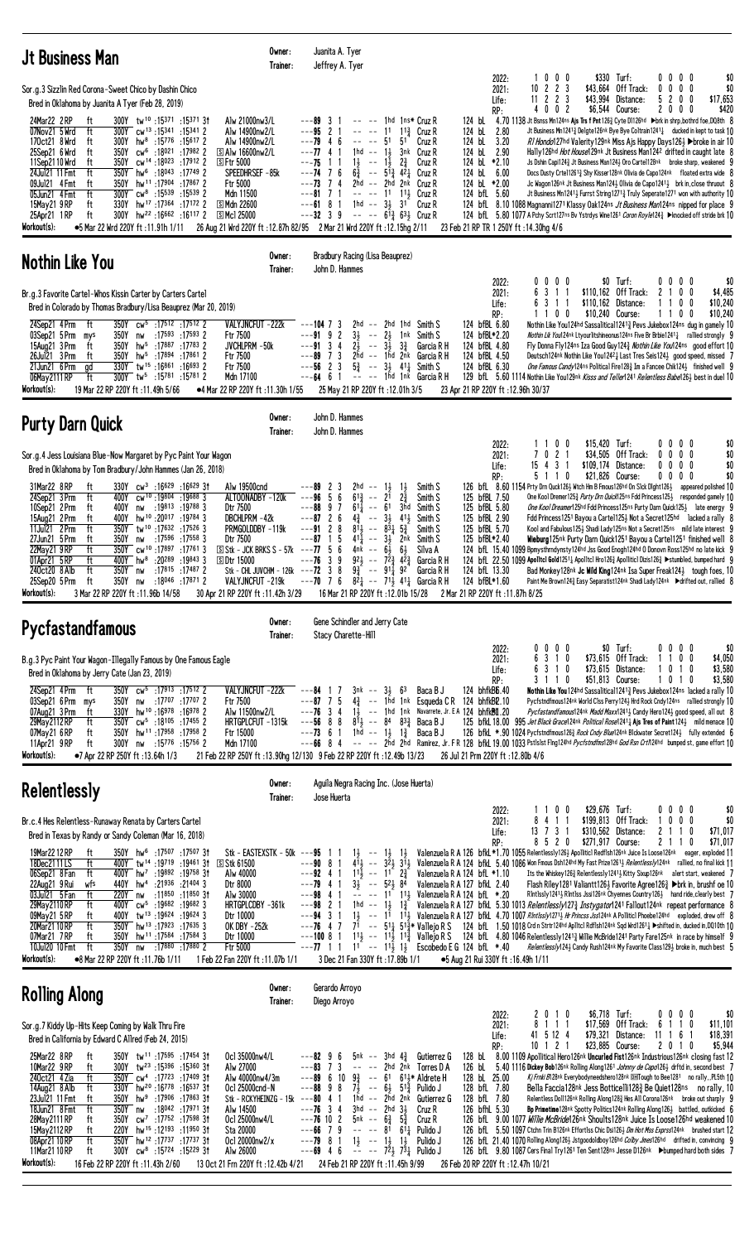| <b>Jt Business Man</b>                                                                                                                                                                                                                                                                                                                                                                                                                                                                                                                                                                                                                                                                                                                                        | Owner:<br>Trainer:                                                                                                                                                    | Juanita A. Tyer<br>Jeffrey A. Tyer                                                                                                              |                                                                                                           |                                                                                                                                                                                                            |                                                                                           |                                                                                                                                                                                                                                                                                                                                                                                                                                                                                                                                                        |                                                                                                                                                                                           |                           |                                    |                                                                                                                                                                                                                                                                                                                                                                                                                                                                                                                                                                                                                                      |                              |                                                   |                                        |
|---------------------------------------------------------------------------------------------------------------------------------------------------------------------------------------------------------------------------------------------------------------------------------------------------------------------------------------------------------------------------------------------------------------------------------------------------------------------------------------------------------------------------------------------------------------------------------------------------------------------------------------------------------------------------------------------------------------------------------------------------------------|-----------------------------------------------------------------------------------------------------------------------------------------------------------------------|-------------------------------------------------------------------------------------------------------------------------------------------------|-----------------------------------------------------------------------------------------------------------|------------------------------------------------------------------------------------------------------------------------------------------------------------------------------------------------------------|-------------------------------------------------------------------------------------------|--------------------------------------------------------------------------------------------------------------------------------------------------------------------------------------------------------------------------------------------------------------------------------------------------------------------------------------------------------------------------------------------------------------------------------------------------------------------------------------------------------------------------------------------------------|-------------------------------------------------------------------------------------------------------------------------------------------------------------------------------------------|---------------------------|------------------------------------|--------------------------------------------------------------------------------------------------------------------------------------------------------------------------------------------------------------------------------------------------------------------------------------------------------------------------------------------------------------------------------------------------------------------------------------------------------------------------------------------------------------------------------------------------------------------------------------------------------------------------------------|------------------------------|---------------------------------------------------|----------------------------------------|
| Sor.g.3 Sizzlin Red Corona-Sweet Chico by Dashin Chico<br>Bred in Oklahoma by Juanita A Tyer (Feb 28, 2019)<br>24Mar22 2RP<br>300Y tw <sup>10</sup> :15371:1537131<br>ft                                                                                                                                                                                                                                                                                                                                                                                                                                                                                                                                                                                      | Alw 21000nw3/L                                                                                                                                                        | $\overline{\mathbf{3}}$<br>---89                                                                                                                |                                                                                                           | -- -- 1hd 1ns* Cruz R                                                                                                                                                                                      |                                                                                           | 2022:<br>2021:<br>Life:<br>RP:<br>124 bL                                                                                                                                                                                                                                                                                                                                                                                                                                                                                                               | 1000<br>$10$ 2 2 3<br>$11$ 2 2 3<br>$4.70$ 1138 Jt Bsnss Mn124ns Ajs Trs f Pnt126½ Cyte D1126hd →brk in shrp,bothrd foe,DQ8th 8                                                           | 4 0 0 2                   |                                    | \$330 Turf:<br>\$43,664 Off Track:<br>\$43,994 Distance:<br>\$6,544 Course:                                                                                                                                                                                                                                                                                                                                                                                                                                                                                                                                                          | 0<br>5                       | 0000<br>$0\ 0\ 0$<br>200<br>2000                  | \$0<br>\$0<br>\$17,653<br>\$420        |
| 07Nov21 5 Wrd<br>ft<br>$300Y$ cw <sup>13</sup> :15341 :15341 2<br>170ct21 8 Wrd<br>hw <sup>8</sup> :15 <sup>776</sup> :156172<br>ft<br>300Y<br>25Sep21 6 Wrd<br>350Y cw <sup>6</sup> :18021 :17982 2<br>ft<br>350Y cw <sup>14</sup> :18023 :17912 2<br>11 Sep 21 10 Wrd<br>ft<br><b>SFtr 5000</b><br>24Jul21 11 Fmt<br>ft<br>350Y hw <sup>6</sup> :18043 :17749 2<br>350Y<br>hw <sup>11</sup> :17904 :17867 2<br>09Jul21 4 Fmt<br>ft<br><b>Ftr 5000</b><br>05Jun21 4 Fmt<br>ft<br>$300Y$ cw <sup>8</sup> :15539 :15539 2<br>330Y hw <sup>17</sup> :17364 :17172 2<br>S Mdn 22600<br>15May21 9 RP<br>ft<br>25Apr21 1RP<br>ft<br>$300Y$ hw <sup>22</sup> :16 <sup>662</sup> :16117 2<br><b>SMc1 25000</b><br>Workout(s):<br>.65 Mar 22 Wrd 220Y ft :11.91h 1/11 | Alw 14900nw2/L<br>Alw 14900nw2/L<br>$\boxdot$ Alw 16600nw2/L<br>SPEEDHRSEF-85k<br>Mdn 11500<br>26 Aug 21 Wrd 220Y ft: 12.87h 82/95 2 Mar 21 Wrd 220Y ft: 12.15hg 2/11 | $---95$ 2 1<br>6<br>$---79$ 4<br>$---77$ 4 1<br>$---75$ 1 1<br>$---74$ 7 6<br>$--73$ 74<br>$--81$ 7 1<br>$---61$ 8 1<br>$---32 \quad 3 \quad 9$ | 1hd -- $1\frac{1}{2}$<br>$1\frac{1}{2}$ -- $1\frac{1}{2}$<br>$--- 61\frac{3}{4} 63\frac{1}{2}$ Cruz R     | 11<br>51<br>51<br>$2\frac{3}{4}$<br>$6\frac{3}{4}$ -- $5\frac{13}{4}$ 4 <sup>2</sup> $\frac{1}{4}$ Cruz R<br>2hd -- 2hd 2nk Cruz R<br>$-- - - 11$ 1 <sup>1</sup> Cruz R<br>1hd $-- 3\frac{1}{2}$ 31 Cruz R | $11\frac{3}{7}$ Cruz R<br>Cruz R<br>3nk Cruz R<br>Cruz R                                  | 124 bL<br>2.80<br>124 bL<br>3.20<br>124 bL 2.90<br>124 bl *2.10<br>124 bL 6.00<br>124 bL *2.00<br>124 bfL 5.60<br>124 bfl 8.10 1088 Magnanni1271 Klassy Oak124ns Jt Business Man124ns nipped for place 9<br>124 bfL 5.80 1077 A Pchy Scrt127ns Bv Ystrdys Wine1261 Caran Royle1243 >knocked off stride brk 10<br>23 Feb 21 RP TR 1 250Y ft : 14.30hg 4/6                                                                                                                                                                                               |                                                                                                                                                                                           |                           |                                    | Jt Business Mn12413 Delgte126nk Bye Bye Coltrain12411 ducked in kept to task 10<br>R1 Hondo127hd Valerity129nk Miss Ajs Happy Days126} > broke in air 10<br>Hally 126hd <i>Hot House</i> 129nk Jt Business Man124 <sup>2</sup> drifted in caught late 8<br>Js Dshin Capi124 $\frac{3}{4}$ Jt Business Man124 $\frac{1}{2}$ Oro Cartel128nk broke sharp, weakened 9<br>Docs Dusty Crte11261 <sup>3</sup> Shy Kisser128nk Olivia de Capo124nk floated extra wide 8<br>Jc Wagon126nk Jt Business Man1243 Olivia de Capo12413 brk in, close thruout 8<br>Jt Business Mn12413 Furrst String12713 Truly Seperate1271 won with authority 10 |                              |                                                   |                                        |
| Nothin Like You                                                                                                                                                                                                                                                                                                                                                                                                                                                                                                                                                                                                                                                                                                                                               | Owner:<br>Trainer:                                                                                                                                                    | John D. Hammes                                                                                                                                  | Bradbury Racing (Lisa Beauprez)                                                                           |                                                                                                                                                                                                            |                                                                                           |                                                                                                                                                                                                                                                                                                                                                                                                                                                                                                                                                        |                                                                                                                                                                                           |                           |                                    |                                                                                                                                                                                                                                                                                                                                                                                                                                                                                                                                                                                                                                      |                              |                                                   |                                        |
| Br.g.3 Favorite Cartel-Whos Kissin Carter by Carters Cartel<br>Bred in Colorado by Thomas Bradbury/Lisa Beauprez (Mar 20, 2019)                                                                                                                                                                                                                                                                                                                                                                                                                                                                                                                                                                                                                               |                                                                                                                                                                       |                                                                                                                                                 |                                                                                                           |                                                                                                                                                                                                            |                                                                                           | 2022:<br>2021:<br>Life:<br>RP:                                                                                                                                                                                                                                                                                                                                                                                                                                                                                                                         | $0\,0\,0\,0$<br>6 3 1 1<br>6 3 1 1<br>1100                                                                                                                                                |                           | \$10,240 Course:                   | \$0 Turf:<br>\$110,162 Off Track:<br>\$110,162 Distance:                                                                                                                                                                                                                                                                                                                                                                                                                                                                                                                                                                             | $\mathbf{2}$<br>-1<br>1<br>1 | 0000<br>$0\quad0$<br>$0\quad 0$<br>1100           | \$0<br>\$4,485<br>\$10,240<br>\$10,240 |
| 350Y cw <sup>5</sup> :17512 :17512 2<br>24Sep21 4 Prm<br>ft<br>350Y nw<br>:17593 :17593 2<br>Ftr 7500<br>03Sep21 5 Prm<br>mys<br>15Aug21 3 Prm<br>350Y hw <sup>5</sup> :17887 :17783 2<br>ft<br>26Jul21 3 Prm<br>350Y hw <sup>5</sup> :17894 :17861 2<br>ft<br>Ftr 7500<br>330Y tw <sup>15</sup> :16861:16693 2<br>21Jun21 6 Prm<br>Ftr 7500<br>ad<br>300Y tw <sup>5</sup> :15781 :15781 2<br>06May 2111 RP<br>ft<br>Workout(s):<br>19 Mar 22 RP 220Y ft: 11.49h 5/66                                                                                                                                                                                                                                                                                         | VALYJNCFUT -222k<br>JVCHLPRM-50k<br>Mdn 17100<br>•4 Mar 22 RP 220Y ft:11.30h 1/55                                                                                     | $---104$ 7 3<br>$---919$<br>$\overline{c}$<br>$---91 \quad 3 \quad 4$<br>$--89$ 7 3<br>$---56$ 2 3<br>$---64$ 6 1                               | $3\frac{1}{2}$ -- $2\frac{1}{2}$<br>$2\frac{1}{2}$ -- $3\frac{1}{2}$<br>25 May 21 RP 220Y ft : 12.01h 3/5 | $2hd$ -- $2hd$ 1hd Smith S<br>1nk<br>$3\frac{3}{4}$<br>$2hd$ -- 1 $hd$ 2nk<br>$5\frac{3}{4}$ -- $3\frac{1}{2}$ 411 Smith S                                                                                 | Smith S<br>Garcia R H<br>Garcia R H<br>-- -- 1hd 1nk Garcia R H                           | 124 bfBL 6.80<br>124 bfBL*2.20<br>124 bfBL 4.80<br>124 bfBL 4.50<br>124 bfBL 6.30<br>129 bfl. 5.60 1114 Nothin Like You129nk Kisss and Teller1241 Relentless Babe126} best in duel 10<br>23 Apr 21 RP 220Y ft: 12.96h 30/37                                                                                                                                                                                                                                                                                                                            |                                                                                                                                                                                           |                           |                                    | Nothin Like You124hd Sassalitical12413 Pevs Jukebox124ns dug in gamely 10<br>Nothin Lik You124nk Ltyourlitshineonus124ns Five Br Brbie1241 <sub>4</sub> rallied strongly 9<br>Fly Donna Fly124ns Iza Good Guy1243 Nothin Like You124ns good effort 10<br>Deutsch124nk Nothin Like You12421 Last Tres Seis1241 good speed, missed 7<br>One Famous Candy124ns Political Fire1283 Im a Fancee Chik1243 finished well 9                                                                                                                                                                                                                  |                              |                                                   |                                        |
| <b>Purty Darn Quick</b>                                                                                                                                                                                                                                                                                                                                                                                                                                                                                                                                                                                                                                                                                                                                       | Owner:<br>Trainer:                                                                                                                                                    | John D. Hammes<br>John D. Hammes                                                                                                                |                                                                                                           |                                                                                                                                                                                                            |                                                                                           |                                                                                                                                                                                                                                                                                                                                                                                                                                                                                                                                                        |                                                                                                                                                                                           |                           |                                    |                                                                                                                                                                                                                                                                                                                                                                                                                                                                                                                                                                                                                                      |                              |                                                   |                                        |
| Sor.g.4 Jess Louisiana Blue-Now Margaret by Pyc Paint Your Wagon<br>Bred in Oklahoma by Tom Bradbury/John Hammes (Jan 26, 2018)                                                                                                                                                                                                                                                                                                                                                                                                                                                                                                                                                                                                                               |                                                                                                                                                                       |                                                                                                                                                 |                                                                                                           |                                                                                                                                                                                                            |                                                                                           | 2022:<br>2021:<br>Life:<br>RP:                                                                                                                                                                                                                                                                                                                                                                                                                                                                                                                         | 11<br>7 0 2 1<br>15 4 3 1                                                                                                                                                                 | 0 <sub>0</sub><br>5 1 1 0 | \$15,420 Turf:<br>\$21,826 Course: | \$34,505 Off Track:<br>\$109,174 Distance:                                                                                                                                                                                                                                                                                                                                                                                                                                                                                                                                                                                           | 0                            | 0000<br>$0\ 0\ 0$<br>$0\ 0\ 0\ 0$<br>$0\ 0\ 0\ 0$ | \$0<br>\$0<br>\$0<br>\$0               |
| 31Mar22 8RP<br>330Y cw <sup>3</sup> :16629 :16629 31<br>ft<br>24Sep21 3 Prm<br>ft<br>400Y cw <sup>10</sup> :19804:196883<br>400Y nw :19813 :19788 3<br>Dtr 7500<br>10Sep21 2 Prm<br>ft<br>hw <sup>10</sup> :20017:197843<br>15Aug21 2 Prm<br>400Y<br>ft                                                                                                                                                                                                                                                                                                                                                                                                                                                                                                       | Alw 19500cnd<br>ALTOONADBY -120k<br>DBCHLPRM-42k                                                                                                                      | $---89$ 2 3<br>$---96$ 5 6<br>$---88997$<br>$---87$ 2 6                                                                                         | 2hd --<br>$6^{13}$ --<br>$4\frac{3}{4}$                                                                   | $1\frac{1}{2}$<br>$1\frac{1}{2}$<br>$2\frac{5}{4}$<br>21<br>$61\frac{1}{4}$ -- $61$ 3hd<br>411<br>$--$ 31                                                                                                  | Smith S<br>Smith S<br>Smith S<br>Smith S                                                  | 126 bfL 8.60 1154 Prty Drn Quck126} Wtch Hm B Fmous126hd On Slck Dlght126}<br>125 bfBL 7.50<br>125 bfBL 5.80<br>125 bfBL 2.90                                                                                                                                                                                                                                                                                                                                                                                                                          |                                                                                                                                                                                           |                           |                                    | One Kool Dremer1253 Purty Drn Quick125ns Fdd Princess1253 responded gamely 10<br>One Kool Dreamer125hd Fdd Princess125ns Purty Darn Quick125 $\frac{1}{2}$ late energy 9<br>Fdd Princess1251 Bayou a Cartel125} Not a Secret125hd lacked a rally 8                                                                                                                                                                                                                                                                                                                                                                                   |                              |                                                   | appeared polished 10                   |
| 11Jul21 2 Prm<br>350Y tw <sup>10</sup> :17632:175263<br>ft<br>nw :17596 :17558 3<br>27Jun21 5 Prm<br>ft<br>350Y<br>Dtr 7500<br>350Y cw <sup>10</sup> :17897 :17761 3<br>22May21 9RP<br>ft                                                                                                                                                                                                                                                                                                                                                                                                                                                                                                                                                                     | PRMGOLDDBY-119k<br>S Stk - JCK BRKS S - 57k ---77 5 6                                                                                                                 | $---91 2 8$<br>$---87$ 1 5                                                                                                                      |                                                                                                           | $8\overline{1}$ + $ 8\overline{3}$ + $5\overline{4}$<br>$41\frac{1}{4}$ -- $3\frac{1}{2}$ 2nk<br>4nk -- $6\frac{1}{2}$ $6\frac{1}{2}$                                                                      | Smith S<br>Smith S<br>Silva A                                                             | 125 bfBL 5.70<br>125 bfBL*2.40<br>124 bfl 15.40 1099 Bpmysthrndynsty124hd Jss Good Enogh124hd 0 Donovn Ross125hd no late kick 9                                                                                                                                                                                                                                                                                                                                                                                                                        |                                                                                                                                                                                           |                           |                                    | Kool and Fabulous1253 Shadi Lady125ns Not a Secret125ns mild late interest 9<br>Wieburg125nk Purty Darn Quick1251 Bayou a Carte11251 finished well 8                                                                                                                                                                                                                                                                                                                                                                                                                                                                                 |                              |                                                   |                                        |
| ft<br>400Y hw <sup>8</sup> :20 <sup>289</sup> :19843 3<br>01Apr21 5 RP<br><b>SDtr 15000</b><br>240ct20 8 Alb<br>ft<br>350Y nw<br>:17815 :17487 2<br>:18046 :17871 2<br>25Sep20 5 Prm<br>350Y nw<br>ft<br>Workout(s):<br>3 Mar 22 RP 220Y ft : 11.96b 14/58                                                                                                                                                                                                                                                                                                                                                                                                                                                                                                    | Stk - CHL JUVCHM - 126k $-$ - - 72 3 8<br>VALYJNCFUT -219k<br>30 Apr 21 RP 220Y ft: 11.42h 3/29                                                                       | $---76$ 3 9<br>$---70$ 7 6                                                                                                                      | 16 Mar 21 RP 220Y ft: 12.01b 15/28                                                                        | $92\frac{1}{2}$ -- $7\overline{2}$ $4\overline{2}$ $4\overline{2}$<br>$9\frac{3}{4}$ -- $91\frac{1}{4}$ 92                                                                                                 | Garcia R H<br>Garcia R H<br>$8^{2}$ 1 -- $7^{1}$ 1 4 <sup>1</sup> <sup>1</sup> Garcia R H | 124 bfL 22.50 1099 Apolitcl Gold1251½ Apolitcl Hro126½ Apoliiticl Dizis126½ ▶stumbled, bumped hard 9<br>124 bfL 13.30<br>124 bfBL*1.60<br>2 Mar 21 RP 220Y ft : 11.87h 8/25                                                                                                                                                                                                                                                                                                                                                                            |                                                                                                                                                                                           |                           |                                    | Bad Monkey 128nk Jc Wild King 124nk Isa Super Freak 124 tough foes, 10<br>Paint Me Brown124} Easy Separatist124nk Shadi Lady124nk ▶ drifted out, rallied 8                                                                                                                                                                                                                                                                                                                                                                                                                                                                           |                              |                                                   |                                        |
| <b>Pycfastandfamous</b>                                                                                                                                                                                                                                                                                                                                                                                                                                                                                                                                                                                                                                                                                                                                       | Owner:<br>Trainer:                                                                                                                                                    |                                                                                                                                                 | Gene Schindler and Jerry Cate<br>Stacy Charette-Hill                                                      |                                                                                                                                                                                                            |                                                                                           |                                                                                                                                                                                                                                                                                                                                                                                                                                                                                                                                                        |                                                                                                                                                                                           |                           |                                    |                                                                                                                                                                                                                                                                                                                                                                                                                                                                                                                                                                                                                                      |                              |                                                   |                                        |
| B.g.3 Pyc Paint Your Wagon-Illegally Famous by One Famous Eagle<br>Bred in Oklahoma by Jerry Cate (Jan 23, 2019)                                                                                                                                                                                                                                                                                                                                                                                                                                                                                                                                                                                                                                              |                                                                                                                                                                       |                                                                                                                                                 |                                                                                                           |                                                                                                                                                                                                            |                                                                                           | 2022:<br>2021:<br>Life:                                                                                                                                                                                                                                                                                                                                                                                                                                                                                                                                | 6                                                                                                                                                                                         | 0000<br>3 1 0<br>6 3 1 0  | \$51,813 Course:                   | \$0 Turf:<br>\$73,615 Off Track:<br>$$73,615$ Distance:                                                                                                                                                                                                                                                                                                                                                                                                                                                                                                                                                                              | 1<br>1.                      | 0000<br>$0\quad 0$<br>0 1 0                       | \$0<br>\$4,050<br>\$3,580              |
| 350Y cw <sup>5</sup> :17913 :17512 2<br>24Sep21 4 Prm<br>ft<br>03Sep21 6 Prm<br>350Y nw :17707 :17707 2<br>Ftr 7500<br>mys<br>07Aug21 3 Prm<br>330Y hw <sup>10</sup> :16978:169782<br>ft<br>ft<br>29May 2112 RP<br>350Y cw <sup>5</sup> :18105 :17455 2<br>07May21 6RP<br>350Y hw <sup>11</sup> :17958 :17958 2<br>Ftr 15000<br>ft<br>11Apr21 9RP<br>ft<br>300Y nw :15776 :15756 2<br>Mdn 17100<br>Workout(s):<br>•7 Apr 22 RP 250Y ft :13.64h 1/3                                                                                                                                                                                                                                                                                                            | VALYJNCFUT -222k<br>Alw 11500nw2/L<br>HRTGPLCFUT -1315k<br>21 Feb 22 RP 250Y ft: 13.90hg 12/130 9 Feb 22 RP 220Y ft: 12.49b 13/23                                     | $---84$ 1 7<br>$--87$ 7 5<br>$---76$ 3 4<br>$---56$ 8 8<br>$---73$ 6 1<br>$---66$ 8 4                                                           |                                                                                                           | $3nk$ -- $3\frac{1}{2}$ 63<br>$8^{11}$ , $-8^{4}$ $8^{3}$ , Baca B J                                                                                                                                       | Baca B J<br>1hd $-$ 1 $\frac{1}{2}$ 1 $\frac{3}{8}$ Baca B J                              | RP:<br>124 bhfkBb.40<br>$4\frac{3}{4}$ -- 1hd 1nk Esqueda C R 124 bhfkB2.10<br>11 -- 1hd 1nk Navarrete, Jr. EA 124 bhfkB11.20<br>125 bfkl 18.00 995 Jet Black Grace124nk Political Rose1241 <sup>1</sup> Ais Tres of Paint 1243 mild menace 10<br>126 bfkL *.90 1024 Pycfstndfmous1263 Rock Cndy Blue124nk Blckwater Secret1243 fully extended 6<br>-- -- 2hd 2hd Ramirez, Jr. FR 128 bfkL 19.00 1033 Pstls1st Fing124hd <i>Pycfstndfms</i> 128hd <i>God Rsn Crt1</i> 124hd bumped st, game effort 10<br>26 Jul 21 Prm 220Y ft: 12.80b 4/6             |                                                                                                                                                                                           | 3 1 1 0                   |                                    | Nothin Like You 124hd Sassalitical12413 Pevs Jukebox124ns lacked a rally 10<br>Pycfstndfmous124nk World Clss Perry124} Hrd Rock Cndy124ns rallied strongly 10<br>Pycfastandfamous124nk Madd Maxx12411, Candy Hero1241 good speed, all out 8                                                                                                                                                                                                                                                                                                                                                                                          |                              | 0 1 0                                             | \$3,580                                |
| <b>Relentlessly</b>                                                                                                                                                                                                                                                                                                                                                                                                                                                                                                                                                                                                                                                                                                                                           | Owner:<br>Trainer:                                                                                                                                                    | Jose Huerta                                                                                                                                     | Aguila Negra Racing Inc. (Jose Huerta)                                                                    |                                                                                                                                                                                                            |                                                                                           |                                                                                                                                                                                                                                                                                                                                                                                                                                                                                                                                                        |                                                                                                                                                                                           |                           |                                    |                                                                                                                                                                                                                                                                                                                                                                                                                                                                                                                                                                                                                                      |                              |                                                   |                                        |
| Br.c.4 Hes Relentless-Runaway Renata by Carters Cartel<br>Bred in Texas by Randy or Sandy Coleman (Mar 16, 2018)                                                                                                                                                                                                                                                                                                                                                                                                                                                                                                                                                                                                                                              |                                                                                                                                                                       |                                                                                                                                                 |                                                                                                           |                                                                                                                                                                                                            |                                                                                           | 2022:<br>2021:                                                                                                                                                                                                                                                                                                                                                                                                                                                                                                                                         | 8 4 1 1                                                                                                                                                                                   | 1100<br>13 7 3 1          | \$29,676 Turf:                     | \$199,813 Off Track:                                                                                                                                                                                                                                                                                                                                                                                                                                                                                                                                                                                                                 | 1                            | 0000<br>$0\ 0\ 0$<br>2 1 1 0                      | \$0<br>\$0<br>\$71,017                 |
| 19Mar 22 12 RP<br>350Y hw <sup>6</sup> :17507 :17507 31<br>ft                                                                                                                                                                                                                                                                                                                                                                                                                                                                                                                                                                                                                                                                                                 |                                                                                                                                                                       |                                                                                                                                                 |                                                                                                           |                                                                                                                                                                                                            |                                                                                           | Life:                                                                                                                                                                                                                                                                                                                                                                                                                                                                                                                                                  |                                                                                                                                                                                           |                           |                                    | \$310,562 Distance:                                                                                                                                                                                                                                                                                                                                                                                                                                                                                                                                                                                                                  |                              | 0                                                 | \$71,017                               |
| 18Dec2111LS<br>ft<br>400Y tw <sup>14</sup> :19719:1946131<br><b>S Stk 61500</b><br>400Y hw <sup>7</sup> :19892 :19758 31<br>Alw 40000<br>06Sep21 8 Fan<br>ft                                                                                                                                                                                                                                                                                                                                                                                                                                                                                                                                                                                                  |                                                                                                                                                                       | Stk - EASTEXSTK - 50k ---95 1 1<br>$---90$ 8 1<br>$---92$ 4 1                                                                                   |                                                                                                           | $1\frac{1}{2}$ -- $1\frac{1}{2}$ $1\frac{1}{2}$<br>$11\overline{3}$ -- $11\overline{23}$                                                                                                                   |                                                                                           | RP:<br>Valenzuela R A 126 bfkL *1.70 1055 Relentlessly126} Apolliticl Redflsh126nk Juice Is Loose126nk eager, exploded 11<br>$4\bar{1}$ -- $3\bar{2}$ 3 $\bar{1}$ Valenzuela R A 124 bfkl 5.40 1086 Won Fmous Dsh124hd My Fast Prize1261 } Relentless/y124nk rallied, no final kick 11<br>Valenzuela R A 124 bfL *1.10                                                                                                                                                                                                                                 |                                                                                                                                                                                           | 8 5 2 0                   | \$271,917 Course:                  | Its the Whiskey1263 Relentlessly12413 Kitty Sixup126nk alert start, weakened 7                                                                                                                                                                                                                                                                                                                                                                                                                                                                                                                                                       | 211                          |                                                   |                                        |
| 22Aug21 9 Rui<br>21404 3: 21936 21404 440Y hw <sup>4</sup> :<br>Dtr 8000<br>wfs<br>03Jul21 5 Fan<br>ft<br>220Y nw<br>:11 <sup>850</sup> :11 <sup>850</sup> 31<br>Alw 30000<br>ft<br>400Y cw <sup>5</sup> :19682 :19682 3<br>29May 2110 RP<br>tw <sup>13</sup> :19624:196243<br>09May21 5 RP<br>ft<br>400Y<br>Dtr 10000                                                                                                                                                                                                                                                                                                                                                                                                                                        | HRTGPLCDBY-361k                                                                                                                                                       | $---79$ 4 1<br>$---98$ 4 1<br>$---98$ 2 1<br>$---94$ 3 1                                                                                        |                                                                                                           | $3\frac{1}{2}$ -- $5\frac{2}{3}$ 84<br>1hd -- 1 $\frac{1}{2}$ 1 $\frac{3}{4}$                                                                                                                              |                                                                                           | Valenzuela R A 127 bfkL 2.40<br>$  -$ 11 $11\frac{1}{2}$ Valenzuela R A 124 bfL *.20<br>Valenzuela R A 127 bfkL 5.30 1013 Relentlessly1273 Instygator1241 Fallout124nk repeat performance 8                                                                                                                                                                                                                                                                                                                                                            |                                                                                                                                                                                           |                           |                                    | Flash Riley 1281 Valiantt 126} Favorite Agree 126 → brk in, brushf oe 10<br>RIntlssly 12413 RIntlss Jssi126nk Chyennes Country 1263 hand ride, clearly best 7                                                                                                                                                                                                                                                                                                                                                                                                                                                                        |                              |                                                   |                                        |
| 20Mar21 10 RP<br>ft<br>350Y hw <sup>13</sup> :17923:176353<br>07Mar21 7RP<br>ft<br>350Y<br>hw <sup>11</sup> :17584 :17584 3<br>Dtr 10000<br>ft<br>$n \mathsf{W}$<br>:17880 :17880 2<br>10Jul20 10 Fmt<br>350Y<br>Ftr 5000<br>Workout(s):<br>•8 Mar 22 RP 220Y ft:11.76b 1/11                                                                                                                                                                                                                                                                                                                                                                                                                                                                                  | OK DBY -252k<br>1 Feb 22 Fan 220Y ft: 11.07b 1/1                                                                                                                      | $---76$ 4 7                                                                                                                                     | 3 Dec 21 Fan 330Y ft: 17.89b 1/1                                                                          |                                                                                                                                                                                                            | 71 -- 511 51 $\frac{3}{4}$ Vallejo R S                                                    | 1} -- 1 <sup>1</sup> 1 <sup>1</sup> } Valenzuela R A 127 bfkL 4.70 1007 RIntlssly1271 <sub>2</sub> Hr Princss Jss124nk A Polliticl Phoebe124hd exploded, drew off 8<br>124 bfl. 1.50 1018 Crd n Strtr124hd Aplitcl Rdflsh124nk Sqd Wrd12614 >shifted in, ducked in, DQ10th 10<br>---100 8 1 113 -- 113 113 Vallejo R S 124 bfl. 4.80 1046 Relentlessly12413 Willie McBride1241 Party Fare125nk in race by himself 9<br>$---77$ 1 1 1 $---$ 1 <sup>1</sup> $\frac{1}{2}$ 1 <sup>3</sup> Escobedo E G 124 bfL *.40<br>●5 Aug 21 Rui 330Y ft: 16.49h 1/11 |                                                                                                                                                                                           |                           |                                    | Relentlessly1243 Candy Rush124nk My Favorite Class1293 broke in, much best 5                                                                                                                                                                                                                                                                                                                                                                                                                                                                                                                                                         |                              |                                                   |                                        |
| <b>Rolling Along</b>                                                                                                                                                                                                                                                                                                                                                                                                                                                                                                                                                                                                                                                                                                                                          | Owner:<br>Trainer:                                                                                                                                                    | Gerardo Arroyo<br>Diego Arroyo                                                                                                                  |                                                                                                           |                                                                                                                                                                                                            |                                                                                           |                                                                                                                                                                                                                                                                                                                                                                                                                                                                                                                                                        |                                                                                                                                                                                           |                           |                                    |                                                                                                                                                                                                                                                                                                                                                                                                                                                                                                                                                                                                                                      |                              |                                                   |                                        |
| Sor.g.7 Kiddy Up-Hits Keep Coming by Walk Thru Fire<br>Bred in California by Edward C Allred (Feb 24, 2015)                                                                                                                                                                                                                                                                                                                                                                                                                                                                                                                                                                                                                                                   |                                                                                                                                                                       |                                                                                                                                                 |                                                                                                           |                                                                                                                                                                                                            |                                                                                           | 2022:<br>2021:<br>Life:                                                                                                                                                                                                                                                                                                                                                                                                                                                                                                                                | 2010<br>8<br>41 5 12 4                                                                                                                                                                    | 1 1 1                     | \$6,718 Turf:                      | \$17,569 Off Track:<br>\$79,321 Distance:                                                                                                                                                                                                                                                                                                                                                                                                                                                                                                                                                                                            | 6<br>11 1 6 1                | 0000<br>1 1 0                                     | \$0<br>\$11,101<br>\$18,391            |
| 25Mar22 8RP<br>ft<br>350Y tw <sup>11</sup> :17595:17454 31<br>10Mar22 9RP<br>ft<br>$300Y$ tw <sup>23</sup> :15396 :15360 31<br>Alw 27000<br>240ct21 4 Zia<br>ft<br>350Y cw <sup>4</sup> :17723 :17409 31                                                                                                                                                                                                                                                                                                                                                                                                                                                                                                                                                      | Ocl 35000nw4/L<br>Alw 40000nw4/3m                                                                                                                                     | $---829$<br>$---83$ 7 3<br>$---89$ 6 10                                                                                                         | 6<br>$9\frac{3}{4}$                                                                                       | $5nk$ -- $3hd$ $4\frac{3}{4}$                                                                                                                                                                              | Gutierrez G<br>$---$ 2hd 2nk Torres D A<br>$-- 61 61\frac{1}{2}$ Aldrete H                | RP:<br>128 bL<br>126 bL<br>128 bL 25.00                                                                                                                                                                                                                                                                                                                                                                                                                                                                                                                | 10 1 2 1<br>8.00 1109 Apollitical Hero126nk Uncurled Fist126nk Industrious126nk closing fast 12<br>5.40 1116 Dickey Bob126nk Rolling Along1261 Johnny de Capo126} drftd in, second best 7 |                           | \$23,885 Course:                   | Kj Frnki B128nk Everybodyneedshero128nk DHTough to Bee1281 no rally, , PL5th 10                                                                                                                                                                                                                                                                                                                                                                                                                                                                                                                                                      |                              | 2010                                              | \$5,944                                |
| ft<br>330Y hw <sup>20</sup> :16778 :16537 31<br>14Aug21 8 Alb<br>23Jul21 11 Fmt<br>$350Y$ hw <sup>9</sup> :17906 :17863 31<br>ft<br>18Jun21 8 Fmt<br>ft<br>350Y nw<br>18 <sup>042</sup> : 17971 3 <del>1</del><br>Alw 14500<br>350Y cw <sup>7</sup> :17 <sup>752</sup> :17 <sup>598</sup> 31<br>28May 2111 RP<br>ft<br>15May 2112 RP<br>ft<br>220Y<br>hw <sup>15</sup> :12 <sup>193</sup> :11 <sup>950</sup> 31<br>Sta 20000                                                                                                                                                                                                                                                                                                                                  | Oc1 25000cnd-N<br>Stk - RCKYHEINZG - 15k<br>Oc1 25000nw4/L                                                                                                            | $---88$ 9 8<br>$---80$ 4 1<br>$---76$ 3 4<br>$---76$ 10 2<br>---66<br>79                                                                        | 5nk --                                                                                                    | $7\frac{1}{2}$ -- $6\frac{1}{2}$ 5 <sup>1</sup> $\frac{3}{2}$ Pulido J<br>$3hd$ -- $2hd$ $3\frac{1}{2}$<br>$6\frac{3}{4}$<br>$5\frac{3}{4}$<br>$--- 81 611$ Pulido J                                       | 1hd -- 2hd 2nk Gutierrez G<br>Cruz R<br>Cruz R                                            | 128 bfL 7.80<br>128 bfL 7.80<br>126 bfhL 5.30<br>126 bfl. 9.00 1077 Willie McBride126nk Shoults128nk Juice Is Loose126hd weakened 10<br>126 bfl. 5.50 1097 Ctchn Trin B126nk Effortlss Chic Dsi1263 Dm Hot Mss Exprss124nk brushed start 12                                                                                                                                                                                                                                                                                                            |                                                                                                                                                                                           |                           |                                    | Bella Faccia128nk Jess Botticelli1283 Be Quiet128ns no rally, 10<br>Relentless Doll126nk Rolling Along1283 Hes All Corona126nk broke out sharply 9<br>Bp Primetime128nk Spotty Politics124nk Rolling Along1263 battled, outkicked 6                                                                                                                                                                                                                                                                                                                                                                                                  |                              |                                                   |                                        |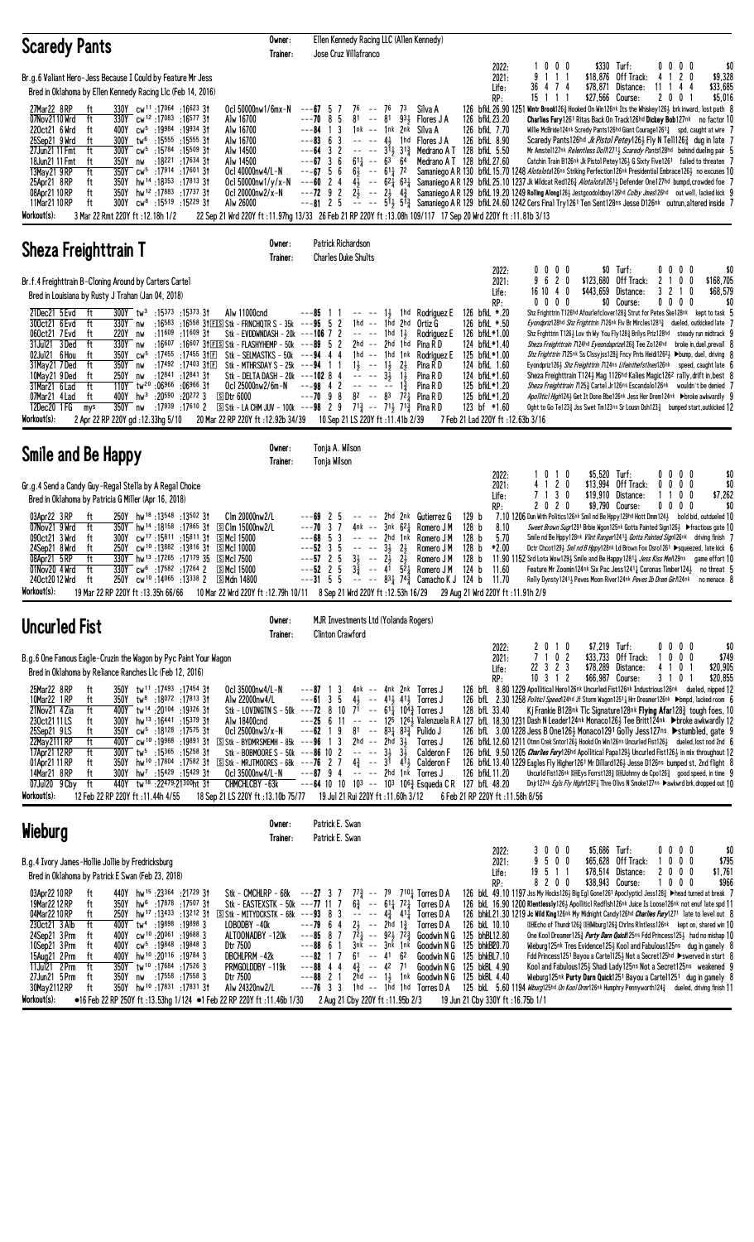| <b>Scaredy Pants</b>                                                                                                                                                                                                                                                                                                                                                                                                                                                                                                                                                                                                                                                                                                                                                                                                                                                                                                          | Owner:<br>Trainer:                                                                                                                                                                   | Ellen Kennedy Racing LLC (Allen Kennedy)<br>Jose Cruz Villafranco                                                                                                                                                                                                                                                                                                                                                                 |                                                                                                                                                                                                                                                                                                                                                                                                                                                                                                 |                                                                                                                            |                                                                                                                                                                                                                                                                                                                                                                                                                                                                                                                                                                                                                                                                                                                                                                                                                                                                                                                                                                                                                                                                                                                                                                                                                                                                                                                                             |
|-------------------------------------------------------------------------------------------------------------------------------------------------------------------------------------------------------------------------------------------------------------------------------------------------------------------------------------------------------------------------------------------------------------------------------------------------------------------------------------------------------------------------------------------------------------------------------------------------------------------------------------------------------------------------------------------------------------------------------------------------------------------------------------------------------------------------------------------------------------------------------------------------------------------------------|--------------------------------------------------------------------------------------------------------------------------------------------------------------------------------------|-----------------------------------------------------------------------------------------------------------------------------------------------------------------------------------------------------------------------------------------------------------------------------------------------------------------------------------------------------------------------------------------------------------------------------------|-------------------------------------------------------------------------------------------------------------------------------------------------------------------------------------------------------------------------------------------------------------------------------------------------------------------------------------------------------------------------------------------------------------------------------------------------------------------------------------------------|----------------------------------------------------------------------------------------------------------------------------|---------------------------------------------------------------------------------------------------------------------------------------------------------------------------------------------------------------------------------------------------------------------------------------------------------------------------------------------------------------------------------------------------------------------------------------------------------------------------------------------------------------------------------------------------------------------------------------------------------------------------------------------------------------------------------------------------------------------------------------------------------------------------------------------------------------------------------------------------------------------------------------------------------------------------------------------------------------------------------------------------------------------------------------------------------------------------------------------------------------------------------------------------------------------------------------------------------------------------------------------------------------------------------------------------------------------------------------------|
| Br.g.6 Valiant Hero-Jess Because I Could by Feature Mr Jess<br>Bred in Oklahoma by Ellen Kennedy Racing Llc (Feb 14, 2016)<br>27Mar22 8RP<br>330Y cw <sup>11</sup> :17064 :16623 31<br>ft<br>07Nov2110 Wrd<br>ft<br>330Y cw <sup>12</sup> :17083:1657731<br>cw <sup>5</sup> :19984 :19934 3†<br>220ct21 6 Wrd<br>ft<br>400Y<br>25Sep21 9 Wrd<br>300Y tw <sup>6</sup> :15555 :15555 31<br>ft<br>27Jun21 11 Fmt<br>ft<br>300Y<br>$cw^5$ :15784 :15509 31<br>350Y<br>nw :18 <sup>221</sup> :17634 31<br>18Jun21 11 Fmt<br>ft<br>13May21 9RP<br>ft<br>350Y cw <sup>5</sup> :17914 :17601 31<br>25Apr21 8RP<br>350Y<br>hw <sup>14</sup> :18 <sup>353</sup> :17813.3†<br>ft<br>hw <sup>12</sup> :17883:1773731<br>350Y<br>08Apr21 10 RP<br>ft<br>11Mar21 10 RP<br>300Y<br>cw <sup>8</sup> :15 <sup>519</sup> :15 <sup>229</sup> 3†<br>ft<br>Workout(s):<br>3 Mar 22 Rmt 220Y ft : 12.18h 1/2                                        | Oc1 50000nw1/6mx-N<br>Alw 16700<br>Alw 16700<br>Alw 16700<br>Alw 14500<br>Alw 14500<br>Oc1 40000nw4/L-N<br>Ocl 50000nw1/y/x-N<br>Ocl 20000nw2/x-N<br>Alw 26000                       | $--67$ 5 7<br>76 -- 76<br>-5<br>81<br>81<br>$---70.8$<br>$\sim$ $\sim$<br>$---84$ 1 3<br>1nk -- 1nk 2nk<br>$---83$ 6 3<br>$--64$ 3 2<br>$--67$ 3 6<br>$6^{11}$ -- $6^{3}$ $6^{4}$<br>$--67$ 5 6<br>$6\frac{1}{2}$ -- $61\frac{1}{4}$ 72<br>$---60$ 2 4<br>$---72$ 9 2<br>$--8125$                                                                                                                                                 | 2022:<br>2021:<br>Life:<br>RP:<br>73<br>Silva A<br>931 Flores J A<br>126 bfkL 23.20<br>126 bfkL 7.70<br>Silva A<br>126 bfkL 8.90<br>$-- -4$ , 1hd Flores JA<br>-- -- $3^{1}\frac{1}{4}$ 3 <sup>13</sup> / <sub>4</sub> Medrano A T 128 bfkl 5.50<br>Medrano A T 128 bfkL 27.60<br>22 Sep 21 Wrd 220Y ft:11.97hg 13/33 26 Feb 21 RP 220Y ft:13.08h 109/117 17 Sep 20 Wrd 220Y ft:11.81b 3/13                                                                                                     | 1000<br>9 1 1 1<br>36 4 7 4<br>\$27,566 Course:<br>15 1 1 1                                                                | \$330 Turf:<br>\$0<br>$0\,0\,0\,0$<br>\$18,876 Off Track:<br>4 1 2 0<br>\$9,328<br>$$78,871$ Distance:<br>11<br>44<br>\$33,685<br>$\overline{1}$<br>200<br>\$5,016<br>126 bfkl 26.90 1251 Wintr Brook1263 Hooked On Win126nk Its the Whiskey1263 brk inward, lost path 8<br>Charlies Fury 1261 Ritas Back On Track126hd Dickey Bob127nk no factor 10<br>Willie McBride124nk Scredy Pants126hd Giant Courage12611 spd, caught at wire 7<br>Scaredy Pants126hd <i>Jk Pistol Petey</i> 1261 Fly N Tell1263 dug in late 7<br>Mr Amstel127nk Relentless Doll12713 Scaredy Pants128hd behind dueling pair 5<br>Catchin Train B126nk Jk Pistol Petey1261 G Sixty Five1261 failed to threaten 7<br>Samaniego A R 130 bfkL 15.70 1248 Alotalota126ns Striking Perfection126nk Presidential Embrace1263 no excuses 10<br>$4\frac{1}{2}$ -- $62\frac{1}{4}$ $63\frac{1}{4}$ Samaniego A R 129 bfkl 25.10 1237 Jk Wildcat Red126 $\frac{3}{4}$ <i>Alotalota</i> 126 <sup>1</sup> $\frac{1}{2}$ Defender One127hd bumpd, crowded foe 7<br>$2\frac{5}{2}$ -- $2\frac{1}{2}$ $4\frac{3}{4}$ Samaniego AR 129 bfkl 19.20 1249 Rolling Along 126 bestgoodoldboy 126hd Colby Jmes126hd out well, lacked kick 9<br>$\sim$ - $\sim$ 513 $\,$ 513 $\,$ Samaniego A R 129 bfkL 24.60 1242 Cers Final Try 1261 Ten Sent128ns Jesse D126nk outrun, altered inside 7 |
| <b>Sheza Freighttrain T</b>                                                                                                                                                                                                                                                                                                                                                                                                                                                                                                                                                                                                                                                                                                                                                                                                                                                                                                   | Owner:<br>Trainer:                                                                                                                                                                   | Patrick Richardson<br><b>Charles Duke Shults</b>                                                                                                                                                                                                                                                                                                                                                                                  |                                                                                                                                                                                                                                                                                                                                                                                                                                                                                                 |                                                                                                                            |                                                                                                                                                                                                                                                                                                                                                                                                                                                                                                                                                                                                                                                                                                                                                                                                                                                                                                                                                                                                                                                                                                                                                                                                                                                                                                                                             |
| Br.f.4 Freighttrain B-Cloning Around by Carters Cartel<br>Bred in Louisiana by Rusty J Trahan (Jan 04, 2018)<br>21Dec21 5 Evd<br>300Y tw <sup>3</sup> :15373 :15373 31<br>ft<br>:16583 :16558 31 EIS Stk - FRNCHQTR S - 35k ---95 5 2<br>300ct21 6 Evd<br>ft<br>330Y nw<br>060ct21 7 Evd<br>:11609<br>:11609 31<br>ft<br>220Y<br>nw<br>:16607 :16607 31 E S Stk - FLASHYHEMP - 50k ---89 5 2<br>31Jul21 3Ded<br>330Y nw<br>ft<br>cw <sup>5</sup> :17455 :17455 31El Stk - SELMASTKS - 50k ---94 4 4<br>02Jul21 6 Hou<br>350Y<br>ft<br>31May21 7Ded<br>ft<br>350Y<br>:17492 :17403 3f下<br>nw<br>:12 <sup>841</sup> :12 <sup>841</sup> 3†<br>10May21 9Ded<br>ft<br>250Y<br>nw<br>31Mar21 6 Lad<br>ft<br>$110Y$ tw <sup>20</sup> :06966 :06966 31<br>07Mar21 4 Lad<br>ft<br>$hw^3$<br>:20590 :20272 3<br>SDtr 6000<br>400Y<br>350Y nw<br>12Dec20 1 FG<br>mys<br>Workout(s):<br>2 Apr 22 RP 220Y gd:12.33hg 5/10                  | Alw 11000cnd<br>Stk - EVDDWNDASH - 20 $k$ ---106 7 2<br>Stk - MTHRSDAY S - 25 $k$ ---94 1 1<br>Stk - DELTA DASH - 20k ---102 8 4<br>Oc1 25000nw2/6m-N                                | $---85$ 1 1<br>$1\frac{1}{2}$<br>1hd -- 1hd 2hd<br>1hd<br>2hd -- 2hd 1hd<br>$1$ hd -- $1$ hd $1$ nk<br>$1\frac{1}{2}$ -- $1\frac{1}{2}$<br>$3\frac{1}{2}$<br>$---98$ 4 2<br>$---70$ 9 8<br>:17939 :17610 2 $\text{S}$ Stk - LA CHM JUV - 100k ---98 2 9 71 $\frac{3}{4}$ -- 71 $\frac{1}{2}$ 71 $\frac{3}{4}$ Pina R D<br>20 Mar 22 RP 220Y ft: 12.92b 34/39 10 Sep 21 LS 220Y ft: 11.41b 2/39                                    | 2022:<br>2021:<br>Life:<br>RP:<br>1hd Rodriguez E<br>126 bfkL *.20<br>126 bfkL *.50<br>Ortiz G<br>126 bfkL*1.00<br>11<br>Rodriauez E<br>124 bfkL*1.40<br>Pina R D<br>125 bfkL*1.00<br>Rodriauez E<br>21<br>Pina R D<br>124 bfkL 1.60<br>124 bfkL*1.60<br>Pina R D<br>$1\frac{3}{4}$<br>125 bfkL*1.20<br>Pina R D<br>$8^2$ -- $8^3$ $7^2\frac{1}{4}$ Pina R D<br>125 bfkL*1.20<br>123 bf *1.60<br>7 Feb 21 Lad 220Y ft: 12.63b 3/16                                                              | 0000<br>9620<br>\$443,659 Distance:<br>16 10 4 0<br>$0\,0\,0\,0$<br>Sheza Freighttrain 7124hd Eyeondaprize1263 Tee Zo124hd | $0\,0\,0\,0$<br>\$0 Turf:<br>\$0<br>\$123,680 Off Track:<br>2<br>0 <sub>0</sub><br>\$168,705<br>1<br>3 <sub>2</sub><br>-1<br>0<br>\$68,579<br>\$0 Course:<br>0000<br>\$0<br>Shz Frighttrin T126hd Afourlefclover1283 Strut for Petes Ske128nk kept to task 5<br>Eyondpriz128hd Shz Frighttrin 7126nk Fiv Br Mircles12813 dueled, outkicked late 7<br>Shz Frghttrin T126½ Lov th Wy You Fly128½ Brilys Priz128hd steady run midtrack 9<br>broke in, duel, prevail 8<br>Shz Frighttrin 71.25nk Ss Clssyjss1.28 3 Fncy Pnts Heidi1.262 → bump, duel, driving {<br>Eyondpriz126} Shz Freighttrin T124ns Lifeinthefstlnes126nk speed, caught late 6<br>Sheza Freighttrain T124} Mag 1126hd Kalies Magic126 <sup>2</sup> rally, drift in, best 8<br>Sheza Freighttrain 7125 <sup>3</sup> Cartel Jr126ns Escandalo126nk wouldn't be denied 7<br>Apollitic1 High124} Get It Done Bbe126nk Jess Her Drem124nk >broke awkwardly 9<br>Oght to Go Te123 $\frac{3}{4}$ Jss Swet Tm123ns Sr Lousn Dsh123 $\frac{3}{4}$ bumped start, outkicked 12                                                                                                                                                                                                                                                                                                         |
| Smile and Be Happy                                                                                                                                                                                                                                                                                                                                                                                                                                                                                                                                                                                                                                                                                                                                                                                                                                                                                                            | Owner:<br>Trainer:                                                                                                                                                                   | Tonja A. Wilson<br>Tonja Wilson                                                                                                                                                                                                                                                                                                                                                                                                   |                                                                                                                                                                                                                                                                                                                                                                                                                                                                                                 |                                                                                                                            |                                                                                                                                                                                                                                                                                                                                                                                                                                                                                                                                                                                                                                                                                                                                                                                                                                                                                                                                                                                                                                                                                                                                                                                                                                                                                                                                             |
| Gr.g.4 Send a Candy Guy-Regal Stella by A Regal Choice<br>Bred in Oklahoma by Patricia G Miller (Apr 16, 2018)<br>03Apr22 3RP<br>250Y hw <sup>18</sup> :13548:13502 31<br>ft<br>350Y hw <sup>14</sup> :18 <sup>158</sup> :17865 31 SClm 15000nw2/L<br>07Nov21 9 Wrd<br>ft<br>300Y cw <sup>17</sup> :15 <sup>811</sup> :15 <sup>811</sup> 31 SMcl 15000<br>090ct21 3 Wrd<br>ft<br>24Sep21 8 Wrd<br>250Y<br>$cw^{10}$ :13882 :13816 31 5Mcl 10000<br>ft<br>330Y hw <sup>13</sup> :17 <sup>265</sup> :17 <sup>179</sup> 35 SMcl 7500<br>08Apr21 5RP<br>ft<br>ft<br>330Y cw <sup>6</sup> :17582:17264 2 SMcl 15000<br>01Nov20 4 Wrd<br>240ct2012 Wrd<br>250Y cw <sup>10</sup> :14065 :13338 2 SMdn 14800<br>Workout(s):<br>19 Mar 22 RP 220Y ft: 13.35h 66/66                                                                                                                                                                     | Clm 20000nw2/L                                                                                                                                                                       | $\mathbf{2}$<br>-5<br>---69<br>$--70$ 3 7<br>$---68.5$<br>3<br>-- -- 2hd 1nk<br>5<br>$---523$<br>$\sim$ $-$<br>$\sim$ $\sim$<br>$3\frac{1}{2}$<br>$--57$ 2 5<br>$2\overline{2}$<br>34<br>$\sim$ $\sim$<br>$---52$ 2 5<br>$3\frac{3}{4}$                                                                                                                                                                                           | 2022:<br>2021:<br>Life:<br>RP:<br>2hd 2nk Gutierrez G<br>129 <sub>b</sub><br>$4nk$ -- $3nk$ $62\frac{1}{4}$ Romero JM<br>128 b<br>8.10<br>128 <sub>b</sub><br>5.70<br>Romero J M<br>$2\frac{1}{2}$<br>Romero J M<br>128 <sub>b</sub><br>*2.00<br>$2\frac{1}{2}$<br>128 <sub>b</sub><br>Romero J M<br>$-$ 4 <sup>1</sup> 5 <sup>2</sup> <sup>1</sup> Romero J M<br>124 b<br>11.60<br>10 Mar 22 Wrd 220Y ft : 12.79h 10/11 8 Sep 21 Wrd 220Y ft : 12.53h 16/29 29 Aug 21 Wrd 220Y ft : 11.91h 2/9 | \$5,520 Turf:<br>1010<br>4 1 2 0<br>7 1 3 0<br>2020                                                                        | 0000<br>\$0<br>\$13,994 Off Track:<br>0<br>$0\ 0\ 0$<br>\$0<br>\$7,262<br>\$19,910 Distance:<br>1100<br>\$9,790 Course:<br>$0\,0\,0\,0$<br>\$0<br>7.10 1206 Dun With Politics126nk Smil nd Be Hppy129hd Hott Dmm124 $\frac{1}{2}$ bold bid, outdueled 10<br>Sweet Brown Sugr1291 Brbie Wgon125nk Gotta Painted Sign126} ▶ fractious gate 10<br>Smile nd Be Hppy128nk Vlint Ranger12413 Gotta Painted Sign126nk driving finish 7<br>Detr Chcot129} Sml nd B Hppy128nk Ld Brown Fox Dsro1261 ▶squeezed, late kick 6<br>11.90 1152 Srd Lota Wow129 $\frac{1}{2}$ Smile and Be Happy 1281 $\frac{1}{4}$ Jess Kiss Men29ns game effort 10<br>Feature Mr Zoomin124nk Six Pac Jess1241; Coronas Timber124; no threat 5<br>---31 5 5 -- -- 831 743 Camacho K J 124 b 11.70 Relly Dynsty 12413 Peves Moon River 124nk <i>Peves Ib Drem Girl</i> 124nk no menace 8                                                                                                                                                                                                                                                                                                                                                                                                                                                                                    |
| <b>Uncurled Fist</b>                                                                                                                                                                                                                                                                                                                                                                                                                                                                                                                                                                                                                                                                                                                                                                                                                                                                                                          | Owner:<br>Trainer:                                                                                                                                                                   | MJR Investments Ltd (Yolanda Rogers)<br><b>Clinton Crawford</b>                                                                                                                                                                                                                                                                                                                                                                   |                                                                                                                                                                                                                                                                                                                                                                                                                                                                                                 |                                                                                                                            |                                                                                                                                                                                                                                                                                                                                                                                                                                                                                                                                                                                                                                                                                                                                                                                                                                                                                                                                                                                                                                                                                                                                                                                                                                                                                                                                             |
| B.g.6 One Famous Eagle-Cruzin the Wagon by Pyc Paint Your Wagon<br>Bred in Oklahoma by Reliance Ranches L1c (Feb 12, 2016)<br>25Mar22 8RP<br>ft<br>350Y tw <sup>11</sup> :17493 :17454 31<br>10Mar22 1RP<br>ft<br>350Y tw <sup>8</sup> :18072 :17813 31<br>21 Nov 21 4 Zia<br>ft<br>400Y tw <sup>14</sup> :20104 :19326 31<br>230ct2111LS<br>300Y hw <sup>13</sup> :16441 :15379 31<br>ft<br>25Sep21 9LS<br>350Y cw <sup>5</sup> :18128 :17575 31<br>ft<br>22May 2111 RP<br>ft<br>400Y cw <sup>10</sup> :19988 :19891 31<br>ft<br>$300Y$ tw <sup>5</sup> :15365 :15258 31<br>17Apr21 12 RP<br>350Y hw <sup>10</sup> :17804 :17582 31 SStk - MRJTMOORES - 68k ---76 2 7<br>01Apr21 11 RP<br>ft<br>14Mar21 8RP<br>$300Y$ hw <sup>7</sup> :15429 :15429 31<br>ft<br>440Y tw <sup>18</sup> :22479:21300ht 31<br>07Jul20 9 Cby ft<br>Workout(s):<br>12 Feb 22 RP 220Y ft: 11.44h 4/55                                              | Oc1 35000nw4/L-N<br>Alw 22000nw4/L<br>Alw 18400cnd<br>Ocl 25000nw3/x-N<br>$S$ Stk - BYDMRSMEMH - 85k ---96 1 3<br>Stk - BOBMOORE S - 50k ---86 10 2<br>CHMCHLCBY-63k                 | $---87$ 1 3<br>$---61$ 3 5<br>Stk - LOVINGTN S - 50k ---72 8 10 7 <sup>1</sup> -- 61 <sup>1</sup> / <sub>4</sub> 10 <sup>4</sup> / <sub>4</sub> Torres J<br>$---62$ 1 9 81 $--$ 83 $\frac{1}{4}$ 83 $\frac{3}{4}$ Pulido J<br>$2hd$ -- $2hd$ $3\frac{1}{2}$<br>$-- -3\frac{1}{2}$ $3\frac{1}{2}$<br>Ocl 35000nw4/L-N $---87$ 9 4 $---2$ 2hd 1nk Torres J<br>18 Sep 21 LS 220Y ft: 13.10b 75/77 19 Jul 21 Rui 220Y ft: 11.60h 3/12 | 2022:<br>2021:<br>Life:<br>RP:<br>4nk -- 4nk 2nk Torres J<br>$4\frac{1}{2}$ -- $41\frac{1}{2}$ $41\frac{1}{2}$ Torres J<br>128 bfL 33.40<br>Torres J<br>Calderon F<br>$4\frac{3}{4}$ -- $3\overline{1}$ $4\overline{1}$ Calderon F<br>126 bfkL 11.20<br>$---64$ 10 10 10 <sup>3</sup> $---$ 10 <sup>3</sup> 10 <sup>6</sup> $\frac{3}{4}$ Esqueda C R 127 bfL 48.20<br>6 Feb 21 RP 220Y ft: 11.58h 8/56                                                                                         | 2 0 1 0<br>\$7,219 Turf:<br>7 1 0 2<br>22 3 2 3<br>$10 \t3 \t1 \t2$<br>\$66,987 Course:                                    | $0\ 0\ 0\ 0$<br>\$0<br>\$33,733 Off Track:<br>1000<br>\$749<br>\$78,289 Distance:<br>4 1 0 1<br>\$20,905<br>\$20,855<br>3 1 0 1<br>126 bfl 8.80 1229 Apollitical Hero126nk Uncurled Fist126nk Industrious126nk dueled, nipped 12<br>126 bfL 2.30 1258 Politicl Speed124hd Jf Storm Wagon12511 Hrr Dreamer126nk ▶bmpd, lacked room 6<br>Kj Frankie B128nk Tlc Signature128nk Flying Afar1283 tough foes, 10<br>---25 6 11 -- -- 125 126 126 Valenzuela R A 127 bfl. 18.30 1231 Dash N Leader124nk Monaco126 Hee Britt124nk ▶broke awkwardly 12<br>126 bfL 3.00 1228 Jess B One126} Monaco1291 Golly Jess127ns ▶stumbled, gate 9<br>126 bfkL 12.60 1211 Otmn Crek Sntor1263 Hookd On Win126ns Uncurled Fist1263 dueled, lost nod 2nd 6<br>126 bfkL 9.50 1205 <i>Charlies Fury</i> 126hd Apollitical Papa1293 Uncurled Fist 1263 in mix throughout 12<br>126 bfkL 13.40 1229 Eagles Fly Higher1261 Mr Dillard1263 Jesse D126ns bumped st, 2nd flight 8<br>Uncurld Fist126nk DHEys Forrst128} DHJohnny de Cpo126} good speed, in time 9<br>Dnjr127nk Egls Fly Highr12821 Thre Olivs N Smoke127ns ▶awkwrd brk, dropped out 10                                                                                                                                                                                                                    |
| Wieburg                                                                                                                                                                                                                                                                                                                                                                                                                                                                                                                                                                                                                                                                                                                                                                                                                                                                                                                       | Owner:<br>Trainer:                                                                                                                                                                   | Patrick E. Swan<br>Patrick E. Swan                                                                                                                                                                                                                                                                                                                                                                                                |                                                                                                                                                                                                                                                                                                                                                                                                                                                                                                 |                                                                                                                            |                                                                                                                                                                                                                                                                                                                                                                                                                                                                                                                                                                                                                                                                                                                                                                                                                                                                                                                                                                                                                                                                                                                                                                                                                                                                                                                                             |
| B.g.4 Ivory James-Hollie Jollie by Fredricksburg<br>Bred in Oklahoma by Patrick E Swan (Feb 23, 2018)<br>03Apr22 10 RP<br>440Y hw <sup>15</sup> :23364 :21729 31<br>ft<br>19Mar 22 12 RP<br>350Y hw <sup>6</sup> :17878 :17507 31<br>ft<br>250Y hw <sup>17</sup> :13433 :13212 31 SStk - MITYDCKSTK - 68k ---93 8 3<br>04Mar2210RP<br>ft<br>230ct21 3 Alb<br>400Y tw <sup>4</sup> :19898 :19898 3<br>ft<br>24Sep21 3 Prm<br>cw <sup>10</sup> :20 <sup>061</sup> :19 <sup>688</sup> 3<br>400Y<br>ft<br>10Sep21 3 Prm<br>400Y cw <sup>5</sup> :19848 :19848 3<br>ft<br>15Aug21 2 Prm<br>19784 3 19784 W 10 .20116<br>ft<br>350Y tw <sup>10</sup> :17684 :17526 3<br>11Jul21 2 Prm<br>ft<br>27Jun21 5 Prm<br>ft<br>350Y nw :17558 :17558 3<br>350Y hw <sup>10</sup> :17831:1783131<br>30May 2112 RP<br>ft<br>Workout(s):<br>●16 Feb 22 RP 250Y ft:13.53hg 1/124 ●1 Feb 22 RP 220Y ft:11.46b 1/30 2 Aug 21 Cby 220Y ft:11.95b 2/3 | Stk - CMCHLRP - $68k$ ---27 3 7<br>Stk - EASTEXSTK - 50k ---77 11 7<br>LOBODBY-40k<br>ALTOONADBY -120k<br>Dtr 7500<br>DBCHLPRM -42k<br>PRMGOLDDBY-119k<br>Dtr 7500<br>Alw 24320nw2/L | $2\frac{1}{2}$ -- 2hd $1\frac{3}{4}$<br>$---79$ 6 4<br>$---85$ 8 7<br>3nk -- 3nk 1nk<br>$---88$ 6 1<br>$61 - 41 62$<br>$--82$ 1 7<br>$---88$ 4 4<br>$4\frac{3}{4}$ -- $42$ 71<br>$---88221$<br>$---76$ 3 3 1hd $---$ 1hd 1hd Torres DA                                                                                                                                                                                            | 2022:<br>2021:<br>Life:<br>RP:<br>$7^{7}\frac{3}{4}$ -- 79 7101 Torres D A<br>$6\frac{3}{4}$ -- $61\frac{1}{4}$ $72\frac{1}{4}$ Torres D A<br>$  4\frac{3}{4}$ $41\frac{1}{4}$ Torres D A<br>126 bkL 10.10<br>Torres D A<br>$7\overline{2}_4$ -- $92\frac{1}{2}$ $7\overline{2}_4^3$ Goodwin N G<br>125 bhBL12.80<br>Goodwin N G 125 bhkB20.70<br>Goodwin N G 125 bhkBL7.10<br>Goodwin N G 125 bkBL 4.90<br>2hd -- 13 1nk Goodwin N G 125 bkBL 4.40<br>19 Jun 21 Cby 330Y ft: 16.75b 1/1        | \$5,686 Turf:<br>3 0 0 0<br>9500<br>19511<br>8200<br>\$38,943 Course:                                                      | $0\,0\,0\,0$<br>\$0<br>\$65,628 Off Track:<br>\$795<br>1000<br>\$78,514 Distance:<br>2 0 0 0<br>\$1,761<br>$0\ 0\ 0$<br>\$966<br>1<br>126 bkL 49.10 1197 Jss My Hocks126} Big Eg1 Gone1261 Apoc1yptic1 Jess1283 ▶head turned at break 7<br>126 bkl. 16.90 1200 Rientlessly126} Apolliticl Redflsh126nk Juice Is Loose126nk not enuf late spd 11<br>126 bhkl.21.30 1219 Jc Wild King126nk My Midnight Candy126hd Charlies Fury1271 late to level out 8<br><b>DHEcho of Thundr126</b> DH Wiburg126 <sup>3</sup> Chrins Rintless126 <sup>nk</sup> kept on, shared win 10<br>One Kool Dreamer1253 <i>Purty Darn Quick</i> 125ns Fdd Princess1253 had no mishap 10<br>Wieburg125nk Tres Evidence1253 Kool and Fabulous125ns dug in gamely 8<br>Fdd Princess1251 Bayou a Cartel125} Not a Secret125hd ▶ swerved in start 8<br>Kool and Fabulous125} Shadi Lady125ns Not a Secret125ns weakened 9<br>Wieburg125nk Purty Darn Quick1251 Bayou a Carte11251 dug in gamely 8<br>125 bkL 5.60 1194 <i>Wiburg</i> 125hd <i>On Kool Drmr</i> 126nk Humphry Pennyworth 124 $\frac{3}{4}$ dueled, driving finish 11                                                                                                                                                                                                                                        |